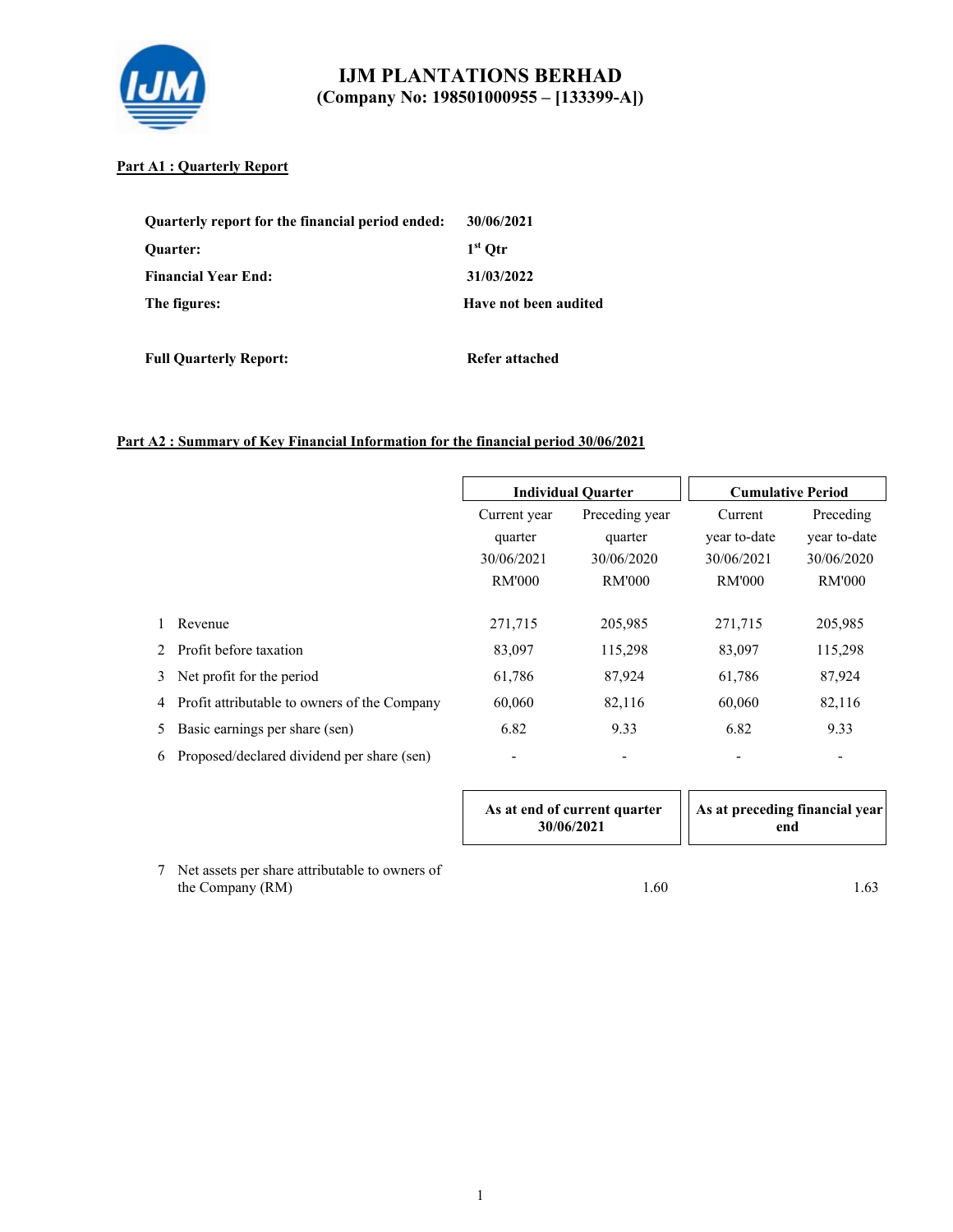

### **Part A1 : Quarterly Report**

| Quarterly report for the financial period ended: | 30/06/2021            |
|--------------------------------------------------|-----------------------|
| <b>Ouarter:</b>                                  | $1st$ Otr             |
| <b>Financial Year End:</b>                       | 31/03/2022            |
| The figures:                                     | Have not been audited |

**Full Quarterly Report:** Refer attached

### **Part A2 : Summary of Key Financial Information for the financial period 30/06/2021**

|    |                                              |                          | <b>Individual Quarter</b> |               | <b>Cumulative Period</b> |
|----|----------------------------------------------|--------------------------|---------------------------|---------------|--------------------------|
|    |                                              | Current year             | Preceding year            |               | Preceding                |
|    |                                              | quarter                  | quarter                   | year to-date  | year to-date             |
|    |                                              | 30/06/2021               | 30/06/2020                | 30/06/2021    | 30/06/2020               |
|    |                                              | <b>RM'000</b>            | <b>RM'000</b>             | <b>RM'000</b> | <b>RM'000</b>            |
|    |                                              |                          |                           |               |                          |
|    | Revenue                                      | 271,715                  | 205,985                   | 271,715       | 205,985                  |
|    | Profit before taxation                       | 83,097                   | 115,298                   | 83,097        | 115,298                  |
| 3  | Net profit for the period                    | 61,786                   | 87,924                    | 61,786        | 87,924                   |
| 4  | Profit attributable to owners of the Company | 60,060                   | 82,116                    | 60,060        | 82,116                   |
| 5. | Basic earnings per share (sen)               | 6.82                     | 9.33                      | 6.82          | 9.33                     |
| 6  | Proposed/declared dividend per share (sen)   | $\overline{\phantom{a}}$ |                           |               | $\overline{\phantom{a}}$ |

| As at end of current quarter<br>30/06/2021 | As at preceding financial year<br>end |
|--------------------------------------------|---------------------------------------|
|                                            |                                       |

7 Net assets per share attributable to owners of the Company (RM) 1.63 1.60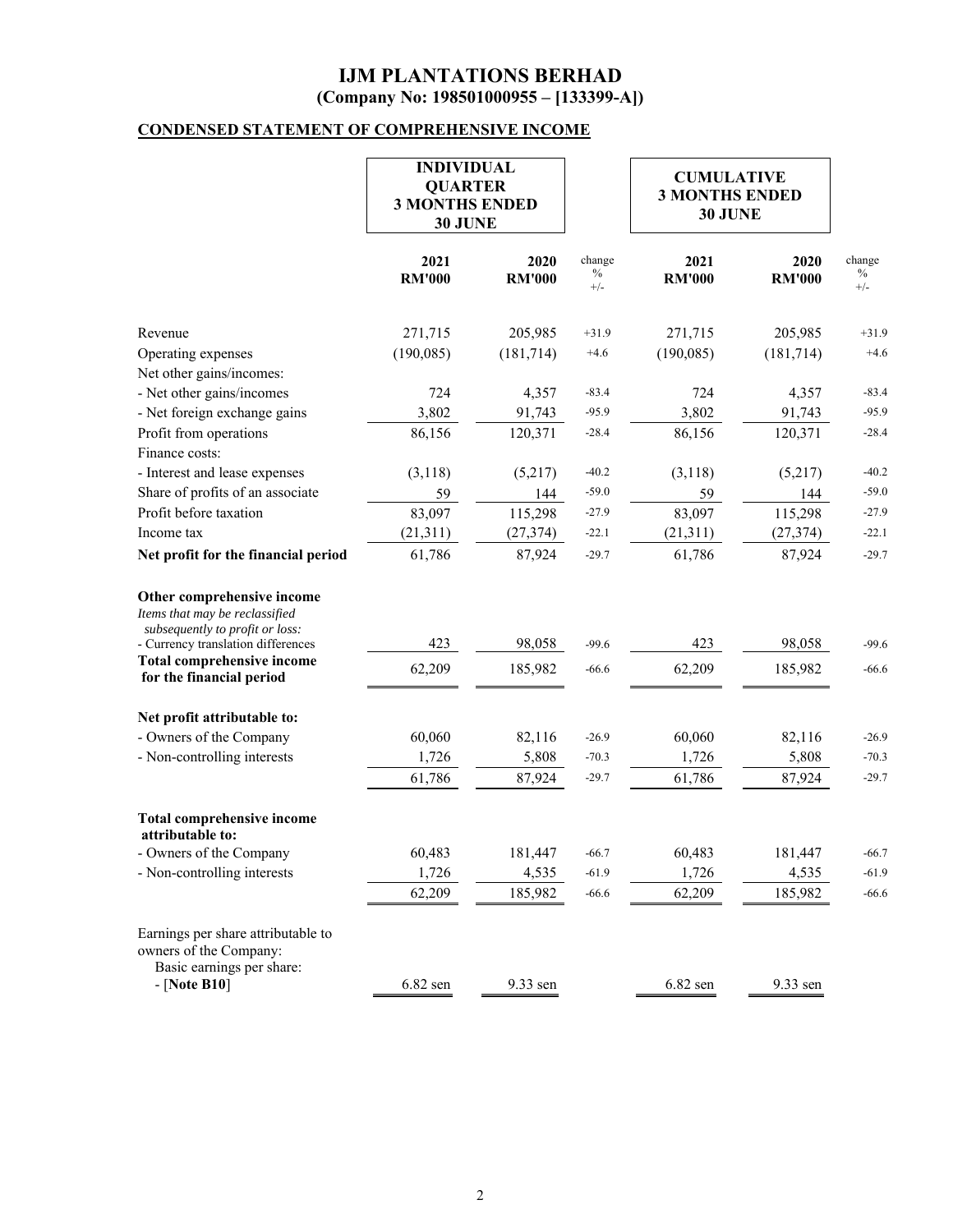# **CONDENSED STATEMENT OF COMPREHENSIVE INCOME**

|                                                                                                                                       | <b>INDIVIDUAL</b><br><b>QUARTER</b><br><b>3 MONTHS ENDED</b><br>30 JUNE |                       |                         |                       |                       | <b>CUMULATIVE</b><br><b>3 MONTHS ENDED</b><br>30 JUNE |  |  |
|---------------------------------------------------------------------------------------------------------------------------------------|-------------------------------------------------------------------------|-----------------------|-------------------------|-----------------------|-----------------------|-------------------------------------------------------|--|--|
|                                                                                                                                       | 2021<br><b>RM'000</b>                                                   | 2020<br><b>RM'000</b> | change<br>$\%$<br>$+/-$ | 2021<br><b>RM'000</b> | 2020<br><b>RM'000</b> | change<br>$\%$<br>$+/-$                               |  |  |
| Revenue                                                                                                                               | 271,715                                                                 | 205,985               | $+31.9$                 | 271,715               | 205,985               | $+31.9$                                               |  |  |
| Operating expenses                                                                                                                    | (190,085)                                                               | (181, 714)            | $+4.6$                  | (190,085)             | (181, 714)            | $+4.6$                                                |  |  |
| Net other gains/incomes:                                                                                                              |                                                                         |                       |                         |                       |                       |                                                       |  |  |
| - Net other gains/incomes                                                                                                             | 724                                                                     | 4,357                 | $-83.4$                 | 724                   | 4,357                 | $-83.4$                                               |  |  |
| - Net foreign exchange gains                                                                                                          | 3,802                                                                   | 91,743                | $-95.9$                 | 3,802                 | 91,743                | $-95.9$                                               |  |  |
| Profit from operations<br>Finance costs:                                                                                              | 86,156                                                                  | 120,371               | $-28.4$                 | 86,156                | 120,371               | $-28.4$                                               |  |  |
| - Interest and lease expenses                                                                                                         | (3,118)                                                                 | (5,217)               | $-40.2$                 | (3,118)               | (5,217)               | $-40.2$                                               |  |  |
| Share of profits of an associate                                                                                                      | 59                                                                      | 144                   | $-59.0$                 | 59                    | 144                   | $-59.0$                                               |  |  |
| Profit before taxation                                                                                                                | 83,097                                                                  | 115,298               | $-27.9$                 | 83,097                | 115,298               | $-27.9$                                               |  |  |
| Income tax                                                                                                                            | (21,311)                                                                | (27, 374)             | $-22.1$                 | (21,311)              | (27, 374)             | $-22.1$                                               |  |  |
| Net profit for the financial period                                                                                                   | 61,786                                                                  | 87,924                | $-29.7$                 | 61,786                | 87,924                | $-29.7$                                               |  |  |
| Other comprehensive income<br>Items that may be reclassified<br>subsequently to profit or loss:<br>- Currency translation differences | 423                                                                     | 98,058                | $-99.6$                 | 423                   | 98,058                | $-99.6$                                               |  |  |
| <b>Total comprehensive income</b><br>for the financial period                                                                         | 62,209                                                                  | 185,982               | $-66.6$                 | 62,209                | 185,982               | $-66.6$                                               |  |  |
| Net profit attributable to:                                                                                                           |                                                                         |                       |                         |                       |                       |                                                       |  |  |
| - Owners of the Company                                                                                                               | 60,060                                                                  | 82,116                | $-26.9$                 | 60,060                | 82,116                | $-26.9$                                               |  |  |
| - Non-controlling interests                                                                                                           | 1,726                                                                   | 5,808                 | $-70.3$                 | 1,726                 | 5,808                 | $-70.3$                                               |  |  |
|                                                                                                                                       | 61,786                                                                  | 87,924                | $-29.7$                 | 61,786                | 87,924                | $-29.7$                                               |  |  |
| <b>Total comprehensive income</b><br>attributable to:                                                                                 |                                                                         |                       |                         |                       |                       |                                                       |  |  |
| - Owners of the Company                                                                                                               | 60,483                                                                  | 181,447               | $-66.7$                 | 60,483                | 181,447               | $-66.7$                                               |  |  |
| - Non-controlling interests                                                                                                           | 1,726                                                                   | 4,535                 | $-61.9$                 | 1,726                 | 4,535                 | $-61.9$                                               |  |  |
|                                                                                                                                       | 62,209                                                                  | 185,982               | $-66.6$                 | 62,209                | 185,982               | $-66.6$                                               |  |  |
| Earnings per share attributable to<br>owners of the Company:<br>Basic earnings per share:<br>$-$ [Note B10]                           | $6.82$ sen                                                              | 9.33 sen              |                         | $6.82$ sen            | 9.33 sen              |                                                       |  |  |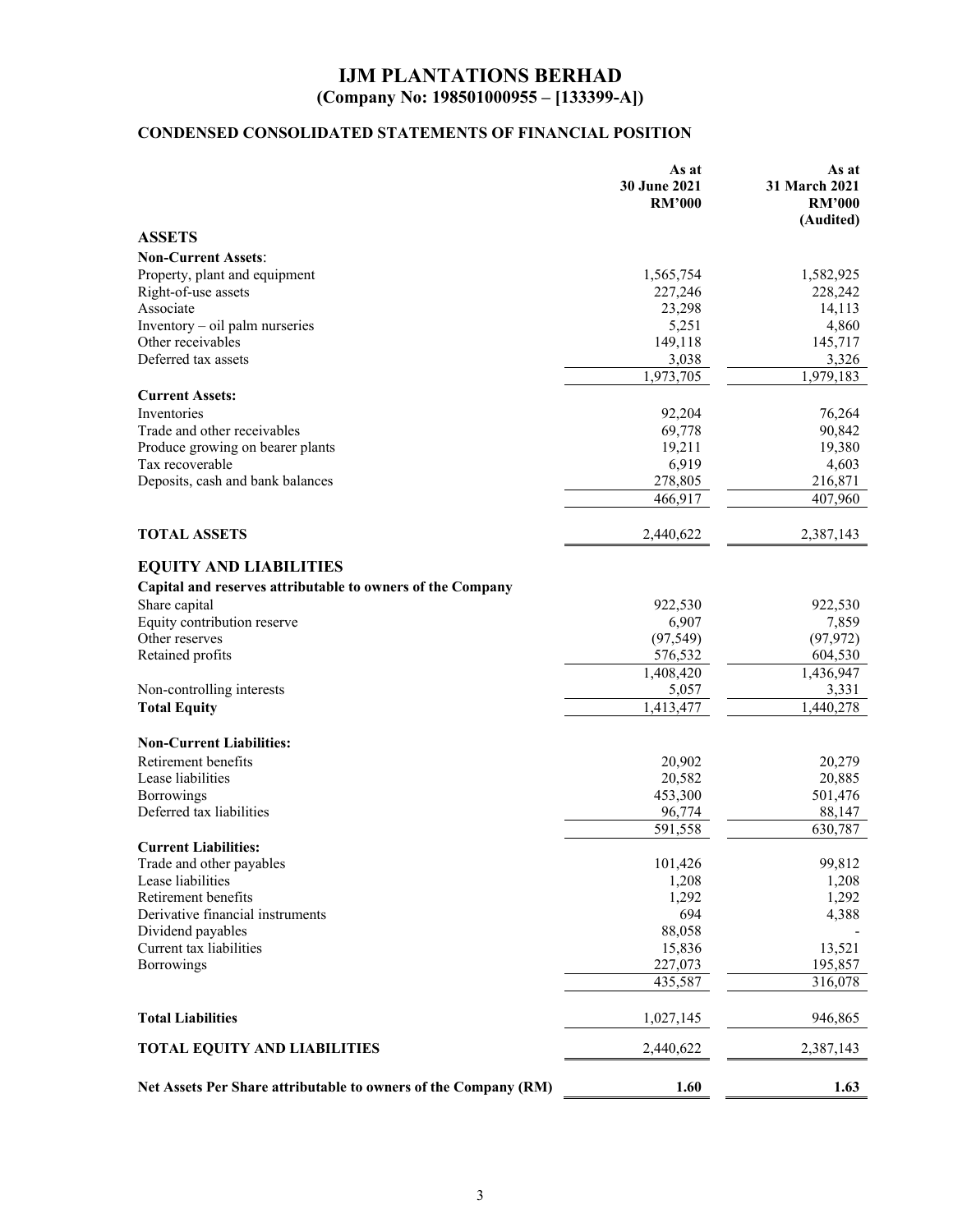# **CONDENSED CONSOLIDATED STATEMENTS OF FINANCIAL POSITION**

|                                                                 | As at<br>30 June 2021<br><b>RM'000</b> | As at<br>31 March 2021<br><b>RM'000</b><br>(Audited) |
|-----------------------------------------------------------------|----------------------------------------|------------------------------------------------------|
| <b>ASSETS</b>                                                   |                                        |                                                      |
| <b>Non-Current Assets:</b>                                      |                                        |                                                      |
| Property, plant and equipment                                   | 1,565,754                              | 1,582,925                                            |
| Right-of-use assets                                             | 227,246                                | 228,242                                              |
| Associate                                                       | 23,298                                 | 14,113                                               |
| Inventory - oil palm nurseries                                  | 5,251                                  | 4,860                                                |
| Other receivables                                               | 149,118                                | 145,717                                              |
| Deferred tax assets                                             | 3,038                                  | 3,326                                                |
|                                                                 | 1,973,705                              | 1,979,183                                            |
| <b>Current Assets:</b>                                          |                                        |                                                      |
| Inventories                                                     | 92,204                                 | 76,264                                               |
| Trade and other receivables                                     | 69,778                                 | 90,842                                               |
| Produce growing on bearer plants                                | 19,211                                 | 19,380                                               |
| Tax recoverable                                                 | 6,919                                  | 4,603                                                |
| Deposits, cash and bank balances                                | 278,805                                | 216,871                                              |
|                                                                 | 466,917                                | 407,960                                              |
| <b>TOTAL ASSETS</b>                                             | 2,440,622                              | 2,387,143                                            |
| <b>EQUITY AND LIABILITIES</b>                                   |                                        |                                                      |
| Capital and reserves attributable to owners of the Company      |                                        |                                                      |
| Share capital                                                   | 922,530                                | 922,530                                              |
| Equity contribution reserve                                     | 6,907                                  | 7,859                                                |
| Other reserves                                                  | (97, 549)                              | (97, 972)                                            |
| Retained profits                                                | 576,532                                | 604,530                                              |
|                                                                 | 1,408,420                              | 1,436,947                                            |
| Non-controlling interests                                       | 5,057                                  | 3,331                                                |
| <b>Total Equity</b>                                             | 1,413,477                              | 1,440,278                                            |
| <b>Non-Current Liabilities:</b>                                 |                                        |                                                      |
| Retirement benefits                                             | 20,902                                 | 20,279                                               |
| Lease liabilities                                               | 20,582                                 | 20,885                                               |
| Borrowings                                                      | 453,300                                | 501,476                                              |
| Deferred tax liabilities                                        | 96,774                                 | 88,147                                               |
|                                                                 | 591,558                                | 630,787                                              |
| <b>Current Liabilities:</b>                                     |                                        |                                                      |
| Trade and other payables                                        | 101,426                                | 99,812                                               |
| Lease liabilities                                               | 1,208                                  | 1,208                                                |
| Retirement benefits                                             | 1,292                                  | 1,292                                                |
| Derivative financial instruments                                | 694                                    | 4,388                                                |
| Dividend payables                                               | 88,058                                 |                                                      |
| Current tax liabilities                                         | 15,836                                 | 13,521                                               |
| Borrowings                                                      | 227,073                                | 195,857                                              |
|                                                                 | 435,587                                | 316,078                                              |
| <b>Total Liabilities</b>                                        | 1,027,145                              | 946,865                                              |
| <b>TOTAL EQUITY AND LIABILITIES</b>                             | 2,440,622                              | 2,387,143                                            |
| Net Assets Per Share attributable to owners of the Company (RM) | 1.60                                   | 1.63                                                 |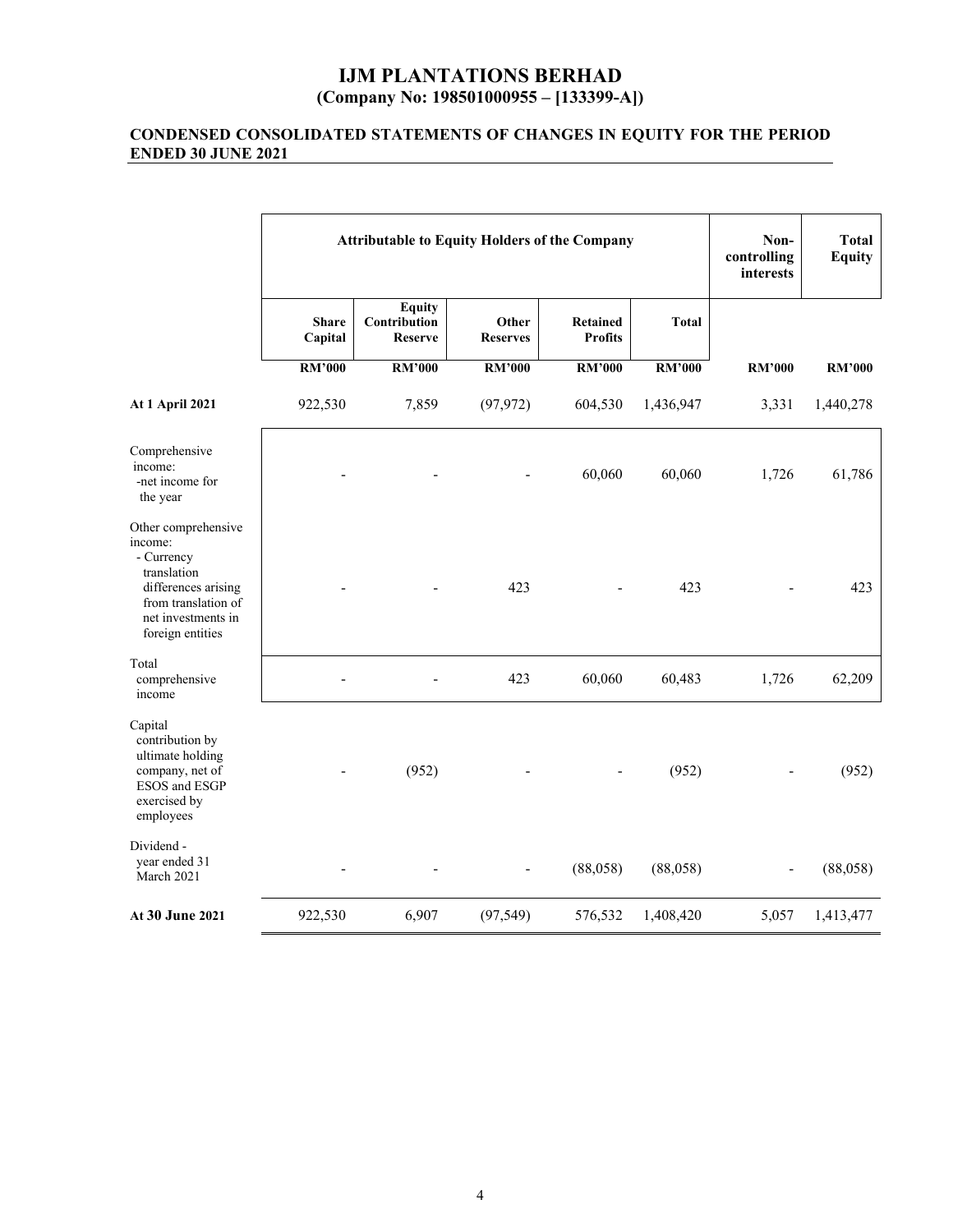#### **CONDENSED CONSOLIDATED STATEMENTS OF CHANGES IN EQUITY FOR THE PERIOD ENDED 30 JUNE 2021**

|                                                                                                                                                     | <b>Attributable to Equity Holders of the Company</b> |                                                 |                          |                                   |               | Non-<br>controlling<br>interests | <b>Total</b><br><b>Equity</b> |
|-----------------------------------------------------------------------------------------------------------------------------------------------------|------------------------------------------------------|-------------------------------------------------|--------------------------|-----------------------------------|---------------|----------------------------------|-------------------------------|
|                                                                                                                                                     | <b>Share</b><br>Capital                              | <b>Equity</b><br>Contribution<br><b>Reserve</b> | Other<br><b>Reserves</b> | <b>Retained</b><br><b>Profits</b> | <b>Total</b>  |                                  |                               |
|                                                                                                                                                     | <b>RM'000</b>                                        | <b>RM'000</b>                                   | <b>RM'000</b>            | <b>RM'000</b>                     | <b>RM'000</b> | <b>RM'000</b>                    | <b>RM'000</b>                 |
| <b>At 1 April 2021</b>                                                                                                                              | 922,530                                              | 7,859                                           | (97, 972)                | 604,530                           | 1,436,947     | 3,331                            | 1,440,278                     |
| Comprehensive<br>income:<br>-net income for<br>the year                                                                                             |                                                      |                                                 |                          | 60,060                            | 60,060        | 1,726                            | 61,786                        |
| Other comprehensive<br>income:<br>- Currency<br>translation<br>differences arising<br>from translation of<br>net investments in<br>foreign entities |                                                      |                                                 | 423                      |                                   | 423           |                                  | 423                           |
| Total<br>comprehensive<br>income                                                                                                                    |                                                      |                                                 | 423                      | 60,060                            | 60,483        | 1,726                            | 62,209                        |
| Capital<br>contribution by<br>ultimate holding<br>company, net of<br>ESOS and ESGP<br>exercised by<br>employees                                     |                                                      | (952)                                           |                          |                                   | (952)         |                                  | (952)                         |
| Dividend -<br>year ended 31<br>March 2021                                                                                                           |                                                      |                                                 |                          | (88,058)                          | (88,058)      | $\overline{\phantom{a}}$         | (88,058)                      |
| At 30 June 2021                                                                                                                                     | 922,530                                              | 6,907                                           | (97, 549)                | 576,532                           | 1,408,420     | 5,057                            | 1,413,477                     |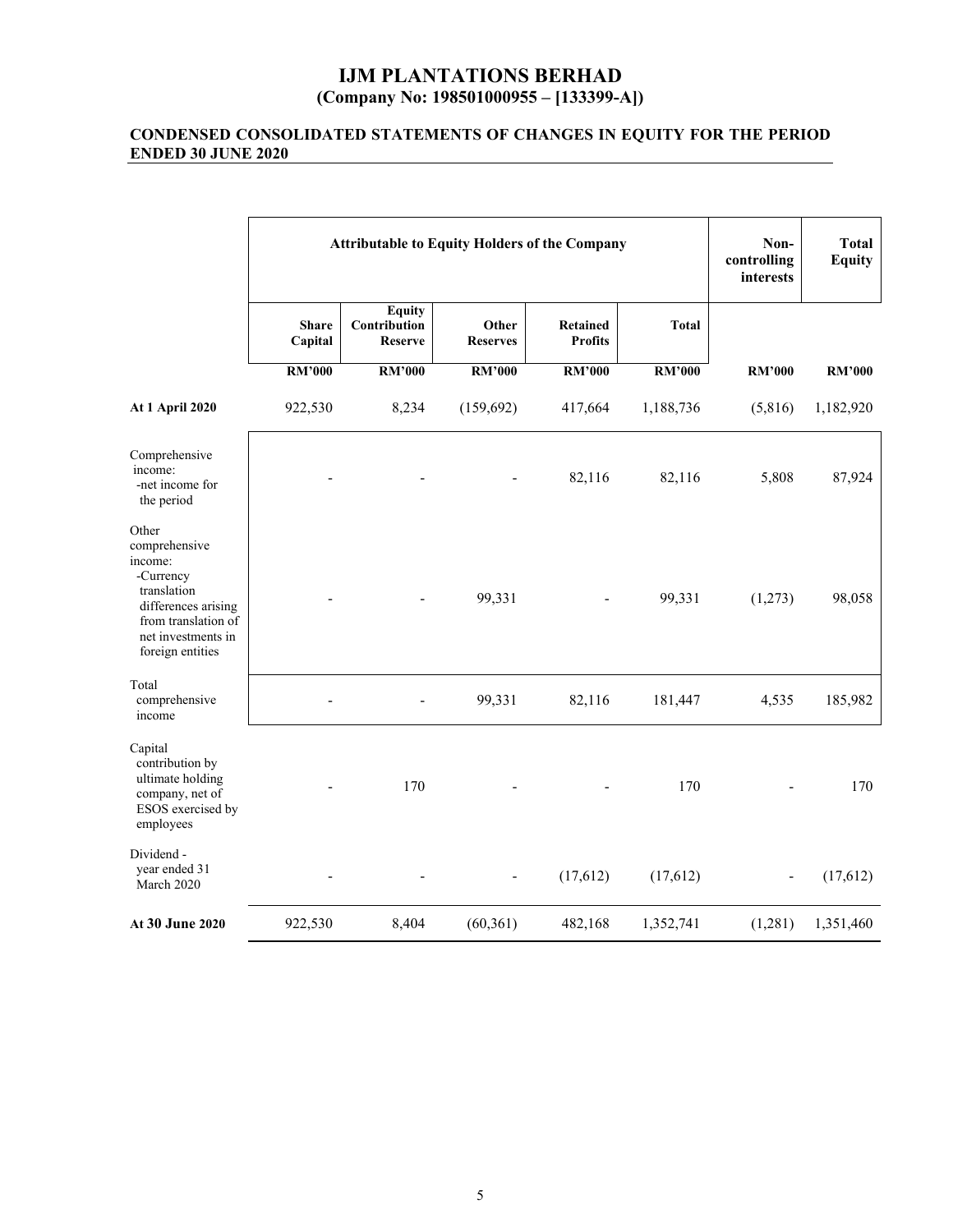#### **CONDENSED CONSOLIDATED STATEMENTS OF CHANGES IN EQUITY FOR THE PERIOD ENDED 30 JUNE 2020**

|                                                                                                                                                       | <b>Attributable to Equity Holders of the Company</b> |                                                 |                          |                                   |              | Non-<br>controlling<br>interests | <b>Total</b><br><b>Equity</b> |
|-------------------------------------------------------------------------------------------------------------------------------------------------------|------------------------------------------------------|-------------------------------------------------|--------------------------|-----------------------------------|--------------|----------------------------------|-------------------------------|
|                                                                                                                                                       | <b>Share</b><br>Capital                              | <b>Equity</b><br>Contribution<br><b>Reserve</b> | Other<br><b>Reserves</b> | <b>Retained</b><br><b>Profits</b> | <b>Total</b> |                                  |                               |
|                                                                                                                                                       | <b>RM'000</b>                                        | RM'000                                          | <b>RM'000</b>            | <b>RM'000</b>                     | RM'000       | <b>RM'000</b>                    | <b>RM'000</b>                 |
| <b>At 1 April 2020</b>                                                                                                                                | 922,530                                              | 8,234                                           | (159, 692)               | 417,664                           | 1,188,736    | (5,816)                          | 1,182,920                     |
| Comprehensive<br>income:<br>-net income for<br>the period                                                                                             |                                                      |                                                 |                          | 82,116                            | 82,116       | 5,808                            | 87,924                        |
| Other<br>comprehensive<br>income:<br>-Currency<br>translation<br>differences arising<br>from translation of<br>net investments in<br>foreign entities |                                                      |                                                 | 99,331                   |                                   | 99,331       | (1,273)                          | 98,058                        |
| Total<br>comprehensive<br>income                                                                                                                      |                                                      |                                                 | 99,331                   | 82,116                            | 181,447      | 4,535                            | 185,982                       |
| Capital<br>contribution by<br>ultimate holding<br>company, net of<br>ESOS exercised by<br>employees                                                   |                                                      | 170                                             |                          |                                   | 170          |                                  | 170                           |
| Dividend -<br>year ended 31<br>March 2020                                                                                                             |                                                      |                                                 |                          | (17, 612)                         | (17,612)     |                                  | (17,612)                      |
| At 30 June 2020                                                                                                                                       | 922,530                                              | 8,404                                           | (60, 361)                | 482,168                           | 1,352,741    | (1,281)                          | 1,351,460                     |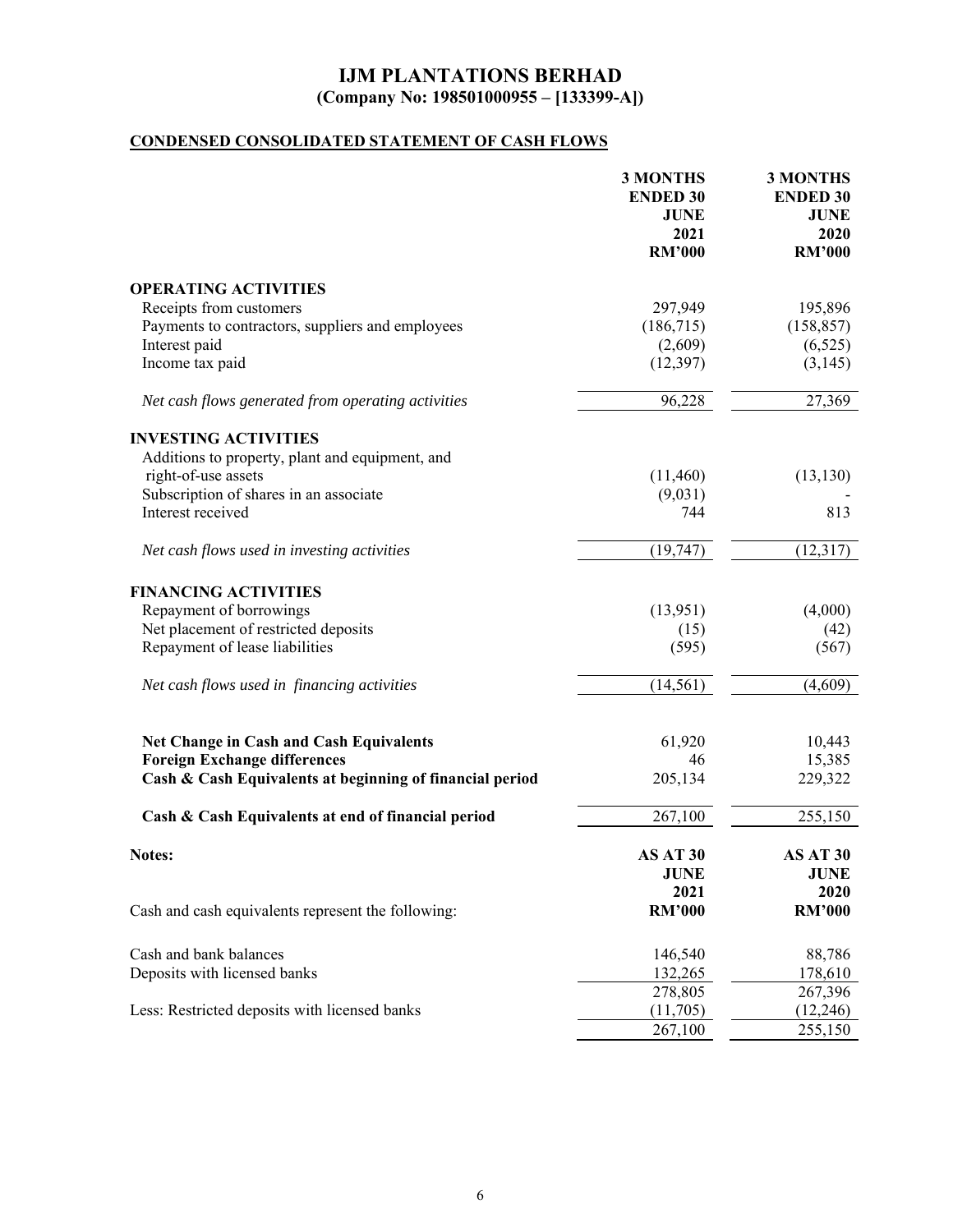# **CONDENSED CONSOLIDATED STATEMENT OF CASH FLOWS**

|                                                                                       | <b>3 MONTHS</b><br><b>ENDED 30</b><br><b>JUNE</b><br>2021<br><b>RM'000</b> | <b>3 MONTHS</b><br><b>ENDED 30</b><br><b>JUNE</b><br>2020<br><b>RM'000</b> |
|---------------------------------------------------------------------------------------|----------------------------------------------------------------------------|----------------------------------------------------------------------------|
| <b>OPERATING ACTIVITIES</b>                                                           |                                                                            |                                                                            |
| Receipts from customers                                                               | 297,949                                                                    | 195,896                                                                    |
| Payments to contractors, suppliers and employees                                      | (186,715)                                                                  | (158, 857)                                                                 |
| Interest paid                                                                         | (2,609)                                                                    | (6,525)                                                                    |
| Income tax paid                                                                       | (12, 397)                                                                  | (3,145)                                                                    |
| Net cash flows generated from operating activities                                    | 96,228                                                                     | 27,369                                                                     |
| <b>INVESTING ACTIVITIES</b>                                                           |                                                                            |                                                                            |
| Additions to property, plant and equipment, and                                       |                                                                            |                                                                            |
| right-of-use assets                                                                   | (11,460)                                                                   | (13, 130)                                                                  |
| Subscription of shares in an associate                                                | (9,031)                                                                    |                                                                            |
| Interest received                                                                     | 744                                                                        | 813                                                                        |
| Net cash flows used in investing activities                                           | (19, 747)                                                                  | (12, 317)                                                                  |
| <b>FINANCING ACTIVITIES</b>                                                           |                                                                            |                                                                            |
| Repayment of borrowings                                                               | (13,951)                                                                   | (4,000)                                                                    |
| Net placement of restricted deposits                                                  | (15)                                                                       | (42)                                                                       |
| Repayment of lease liabilities                                                        | (595)                                                                      | (567)                                                                      |
| Net cash flows used in financing activities                                           | (14, 561)                                                                  | (4,609)                                                                    |
|                                                                                       |                                                                            |                                                                            |
| <b>Net Change in Cash and Cash Equivalents</b><br><b>Foreign Exchange differences</b> | 61,920<br>46                                                               | 10,443<br>15,385                                                           |
| Cash & Cash Equivalents at beginning of financial period                              | 205,134                                                                    | 229,322                                                                    |
| Cash & Cash Equivalents at end of financial period                                    | 267,100                                                                    | 255,150                                                                    |
| Notes:                                                                                | AS AT 30<br><b>JUNE</b><br>2021                                            | AS AT 30<br><b>JUNE</b><br>2020                                            |
| Cash and cash equivalents represent the following:                                    | <b>RM'000</b>                                                              | <b>RM'000</b>                                                              |
| Cash and bank balances                                                                | 146,540                                                                    | 88,786                                                                     |
| Deposits with licensed banks                                                          | 132,265                                                                    | 178,610                                                                    |
|                                                                                       | 278,805                                                                    | 267,396                                                                    |
| Less: Restricted deposits with licensed banks                                         | (11,705)                                                                   | (12,246)                                                                   |
|                                                                                       | 267,100                                                                    | 255,150                                                                    |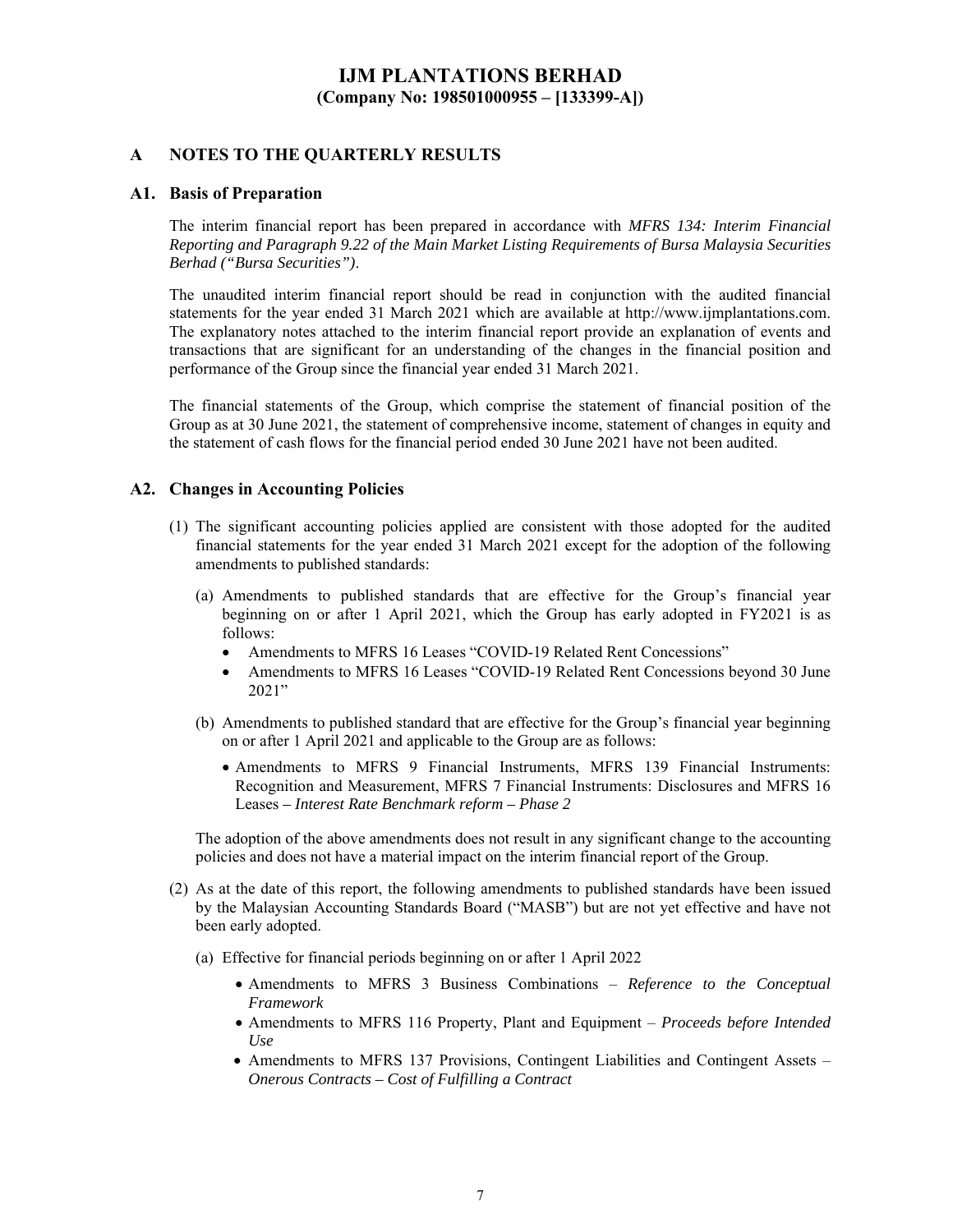### **A NOTES TO THE QUARTERLY RESULTS**

### **A1. Basis of Preparation**

The interim financial report has been prepared in accordance with *MFRS 134: Interim Financial Reporting and Paragraph 9.22 of the Main Market Listing Requirements of Bursa Malaysia Securities Berhad ("Bursa Securities")*.

The unaudited interim financial report should be read in conjunction with the audited financial statements for the year ended 31 March 2021 which are available at http://www.ijmplantations.com. The explanatory notes attached to the interim financial report provide an explanation of events and transactions that are significant for an understanding of the changes in the financial position and performance of the Group since the financial year ended 31 March 2021.

The financial statements of the Group, which comprise the statement of financial position of the Group as at 30 June 2021, the statement of comprehensive income, statement of changes in equity and the statement of cash flows for the financial period ended 30 June 2021 have not been audited.

#### **A2. Changes in Accounting Policies**

- (1) The significant accounting policies applied are consistent with those adopted for the audited financial statements for the year ended 31 March 2021 except for the adoption of the following amendments to published standards:
	- (a) Amendments to published standards that are effective for the Group's financial year beginning on or after 1 April 2021, which the Group has early adopted in FY2021 is as follows:
		- Amendments to MFRS 16 Leases "COVID-19 Related Rent Concessions"
		- Amendments to MFRS 16 Leases "COVID-19 Related Rent Concessions beyond 30 June 2021"
	- (b) Amendments to published standard that are effective for the Group's financial year beginning on or after 1 April 2021 and applicable to the Group are as follows:
		- Amendments to MFRS 9 Financial Instruments, MFRS 139 Financial Instruments: Recognition and Measurement, MFRS 7 Financial Instruments: Disclosures and MFRS 16 Leases *– Interest Rate Benchmark reform – Phase 2*

The adoption of the above amendments does not result in any significant change to the accounting policies and does not have a material impact on the interim financial report of the Group.

- (2) As at the date of this report, the following amendments to published standards have been issued by the Malaysian Accounting Standards Board ("MASB") but are not yet effective and have not been early adopted.
	- (a) Effective for financial periods beginning on or after 1 April 2022
		- Amendments to MFRS 3 Business Combinations *Reference to the Conceptual Framework*
		- Amendments to MFRS 116 Property, Plant and Equipment *Proceeds before Intended Use*
		- Amendments to MFRS 137 Provisions, Contingent Liabilities and Contingent Assets *Onerous Contracts – Cost of Fulfilling a Contract*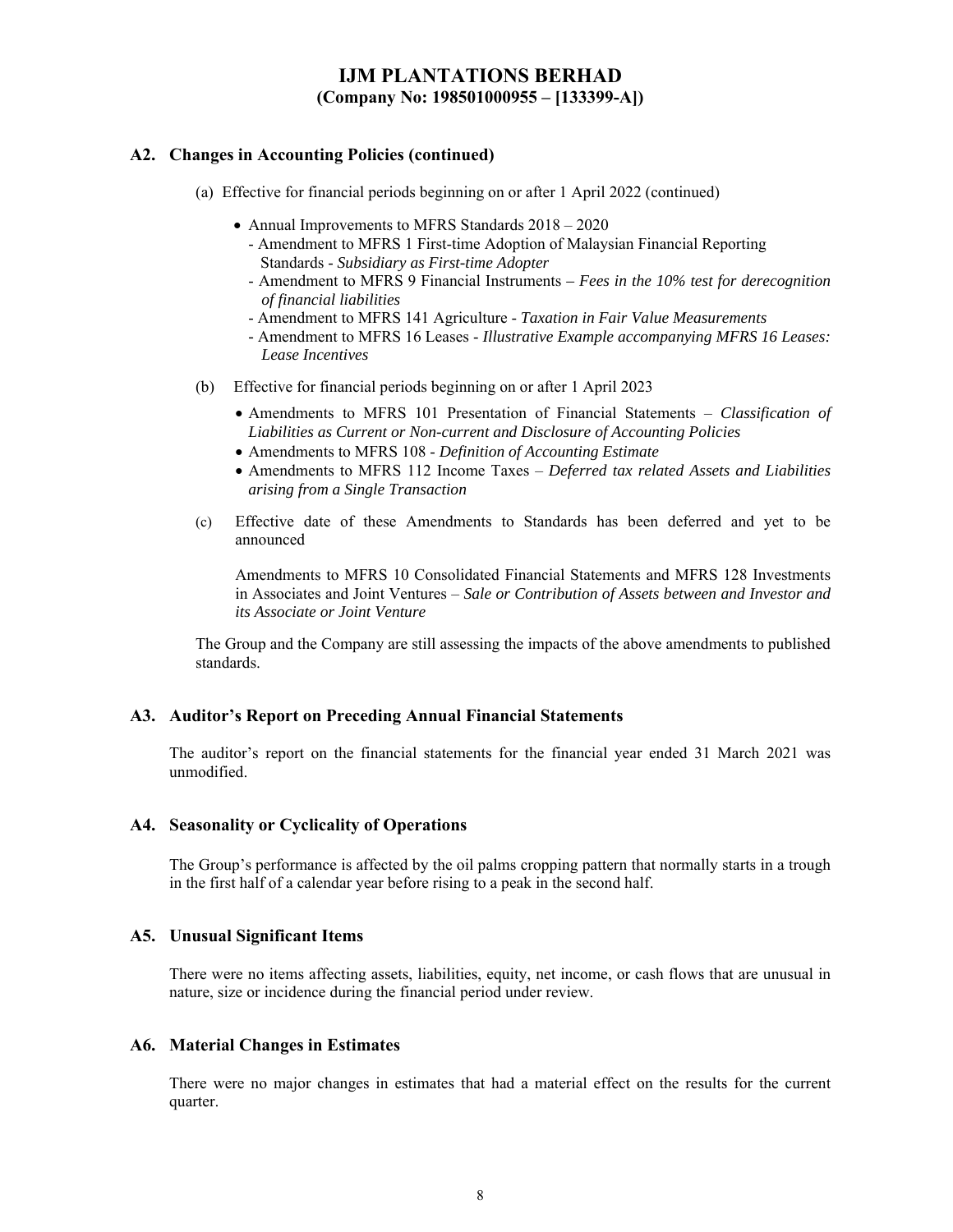### **A2. Changes in Accounting Policies (continued)**

- (a) Effective for financial periods beginning on or after 1 April 2022 (continued)
	- Annual Improvements to MFRS Standards  $2018 2020$ 
		- Amendment to MFRS 1 First-time Adoption of Malaysian Financial Reporting Standards - *Subsidiary as First-time Adopter*
		- Amendment to MFRS 9 Financial Instruments  *Fees in the 10% test for derecognition of financial liabilities*
		- Amendment to MFRS 141 Agriculture *Taxation in Fair Value Measurements*
		- Amendment to MFRS 16 Leases - *Illustrative Example accompanying MFRS 16 Leases: Lease Incentives*
- (b) Effective for financial periods beginning on or after 1 April 2023
	- Amendments to MFRS 101 Presentation of Financial Statements *Classification of Liabilities as Current or Non-current and Disclosure of Accounting Policies*
	- Amendments to MFRS 108 *Definition of Accounting Estimate*
	- Amendments to MFRS 112 Income Taxes *Deferred tax related Assets and Liabilities arising from a Single Transaction*
- (c) Effective date of these Amendments to Standards has been deferred and yet to be announced

Amendments to MFRS 10 Consolidated Financial Statements and MFRS 128 Investments in Associates and Joint Ventures – *Sale or Contribution of Assets between and Investor and its Associate or Joint Venture*

The Group and the Company are still assessing the impacts of the above amendments to published standards.

#### **A3. Auditor's Report on Preceding Annual Financial Statements**

The auditor's report on the financial statements for the financial year ended 31 March 2021 was unmodified.

#### **A4. Seasonality or Cyclicality of Operations**

The Group's performance is affected by the oil palms cropping pattern that normally starts in a trough in the first half of a calendar year before rising to a peak in the second half.

#### **A5. Unusual Significant Items**

There were no items affecting assets, liabilities, equity, net income, or cash flows that are unusual in nature, size or incidence during the financial period under review.

#### **A6. Material Changes in Estimates**

There were no major changes in estimates that had a material effect on the results for the current quarter.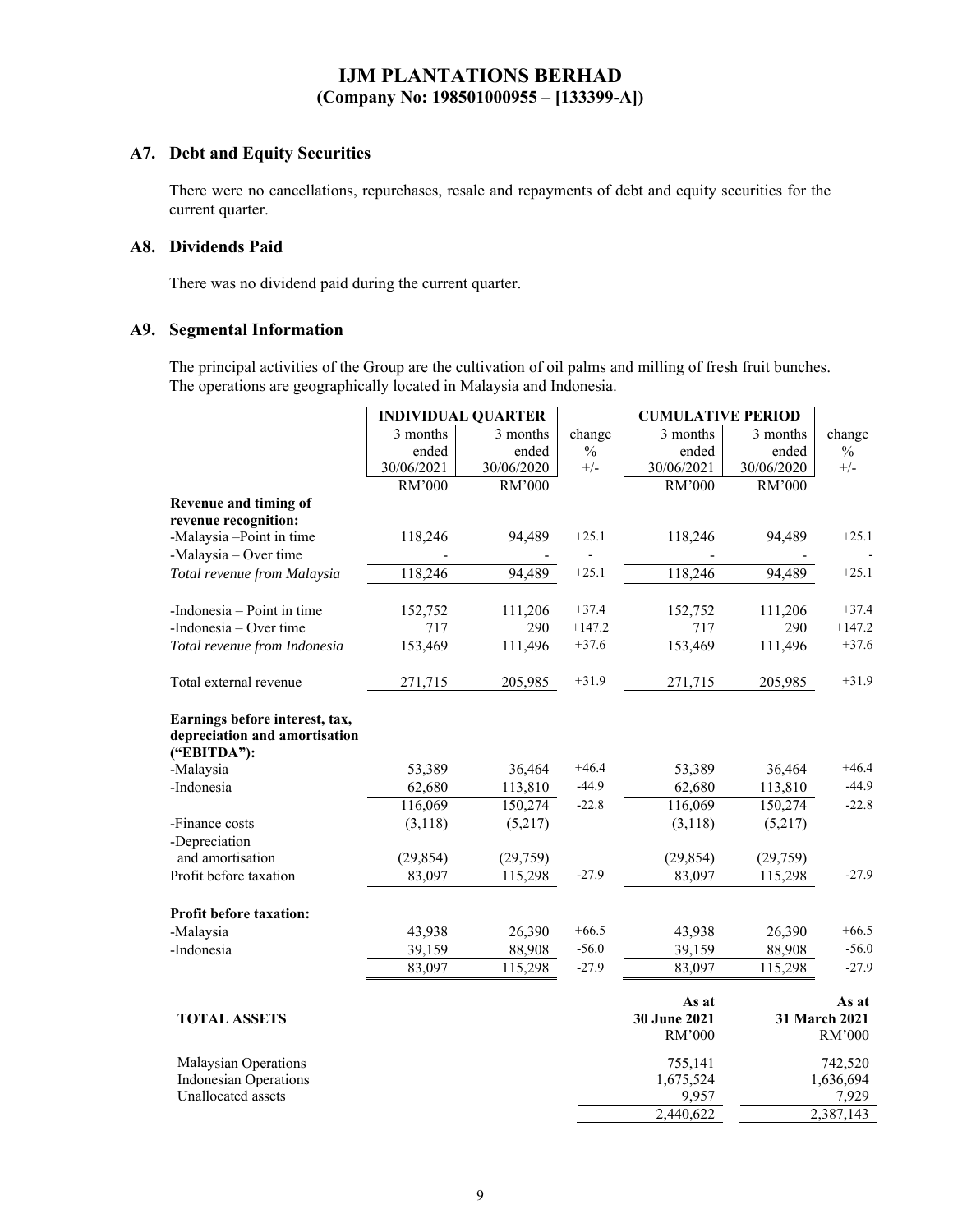### **A7. Debt and Equity Securities**

There were no cancellations, repurchases, resale and repayments of debt and equity securities for the current quarter.

#### **A8. Dividends Paid**

There was no dividend paid during the current quarter.

### **A9. Segmental Information**

The principal activities of the Group are the cultivation of oil palms and milling of fresh fruit bunches. The operations are geographically located in Malaysia and Indonesia.

|                                                                                | <b>INDIVIDUAL QUARTER</b> |            |               | <b>CUMULATIVE PERIOD</b> |            |                        |
|--------------------------------------------------------------------------------|---------------------------|------------|---------------|--------------------------|------------|------------------------|
|                                                                                | 3 months                  | 3 months   | change        | 3 months                 | 3 months   | change                 |
|                                                                                | ended                     | ended      | $\frac{0}{0}$ | ended                    | ended      | $\frac{0}{0}$          |
|                                                                                | 30/06/2021                | 30/06/2020 | $+/-$         | 30/06/2021               | 30/06/2020 | $+/-$                  |
|                                                                                | RM'000                    | RM'000     |               | RM'000                   | RM'000     |                        |
| Revenue and timing of                                                          |                           |            |               |                          |            |                        |
| revenue recognition:                                                           |                           |            |               |                          |            |                        |
| -Malaysia -Point in time                                                       | 118,246                   | 94,489     | $+25.1$       | 118,246                  | 94,489     | $+25.1$                |
| -Malaysia - Over time                                                          |                           |            |               |                          |            |                        |
| Total revenue from Malaysia                                                    | 118,246                   | 94,489     | $+25.1$       | 118,246                  | 94.489     | $+25.1$                |
| -Indonesia $-$ Point in time                                                   | 152,752                   | 111,206    | $+37.4$       | 152,752                  | 111,206    | $+37.4$                |
| -Indonesia – Over time                                                         | 717                       | 290        | $+147.2$      | 717                      | 290        | $+147.2$               |
| Total revenue from Indonesia                                                   | 153,469                   | 111,496    | $+37.6$       | 153,469                  | 111,496    | $+37.6$                |
|                                                                                |                           |            |               |                          |            |                        |
| Total external revenue                                                         | 271,715                   | 205,985    | $+31.9$       | 271,715                  | 205,985    | $+31.9$                |
| Earnings before interest, tax,<br>depreciation and amortisation<br>("EBITDA"): |                           |            |               |                          |            |                        |
| -Malaysia                                                                      | 53,389                    | 36,464     | $+46.4$       | 53,389                   | 36,464     | $+46.4$                |
| -Indonesia                                                                     | 62,680                    | 113,810    | $-44.9$       | 62,680                   | 113,810    | $-44.9$                |
|                                                                                | 116,069                   | 150,274    | $-22.8$       | 116,069                  | 150,274    | $-22.8$                |
| -Finance costs                                                                 | (3,118)                   | (5,217)    |               | (3,118)                  | (5,217)    |                        |
| -Depreciation                                                                  |                           |            |               |                          |            |                        |
| and amortisation                                                               | (29, 854)                 | (29, 759)  | $-27.9$       | (29, 854)                | (29, 759)  | $-27.9$                |
| Profit before taxation                                                         | 83,097                    | 115,298    |               | 83,097                   | 115,298    |                        |
| Profit before taxation:                                                        |                           |            |               |                          |            |                        |
| -Malaysia                                                                      | 43,938                    | 26,390     | $+66.5$       | 43,938                   | 26,390     | $+66.5$                |
| -Indonesia                                                                     | 39,159                    | 88,908     | $-56.0$       | 39,159                   | 88,908     | $-56.0$                |
|                                                                                | 83,097                    | 115,298    | $-27.9$       | 83,097                   | 115,298    | $-27.9$                |
| <b>TOTAL ASSETS</b>                                                            |                           |            |               | As at<br>30 June 2021    |            | As at<br>31 March 2021 |
|                                                                                |                           |            |               | RM'000                   |            | RM'000                 |
| Malaysian Operations                                                           |                           |            |               | 755,141                  |            | 742,520                |
| <b>Indonesian Operations</b>                                                   |                           |            |               | 1,675,524                |            | 1,636,694              |
| Unallocated assets                                                             |                           |            |               | 9,957                    |            | 7,929                  |
|                                                                                |                           |            |               | 2,440,622                |            | 2,387,143              |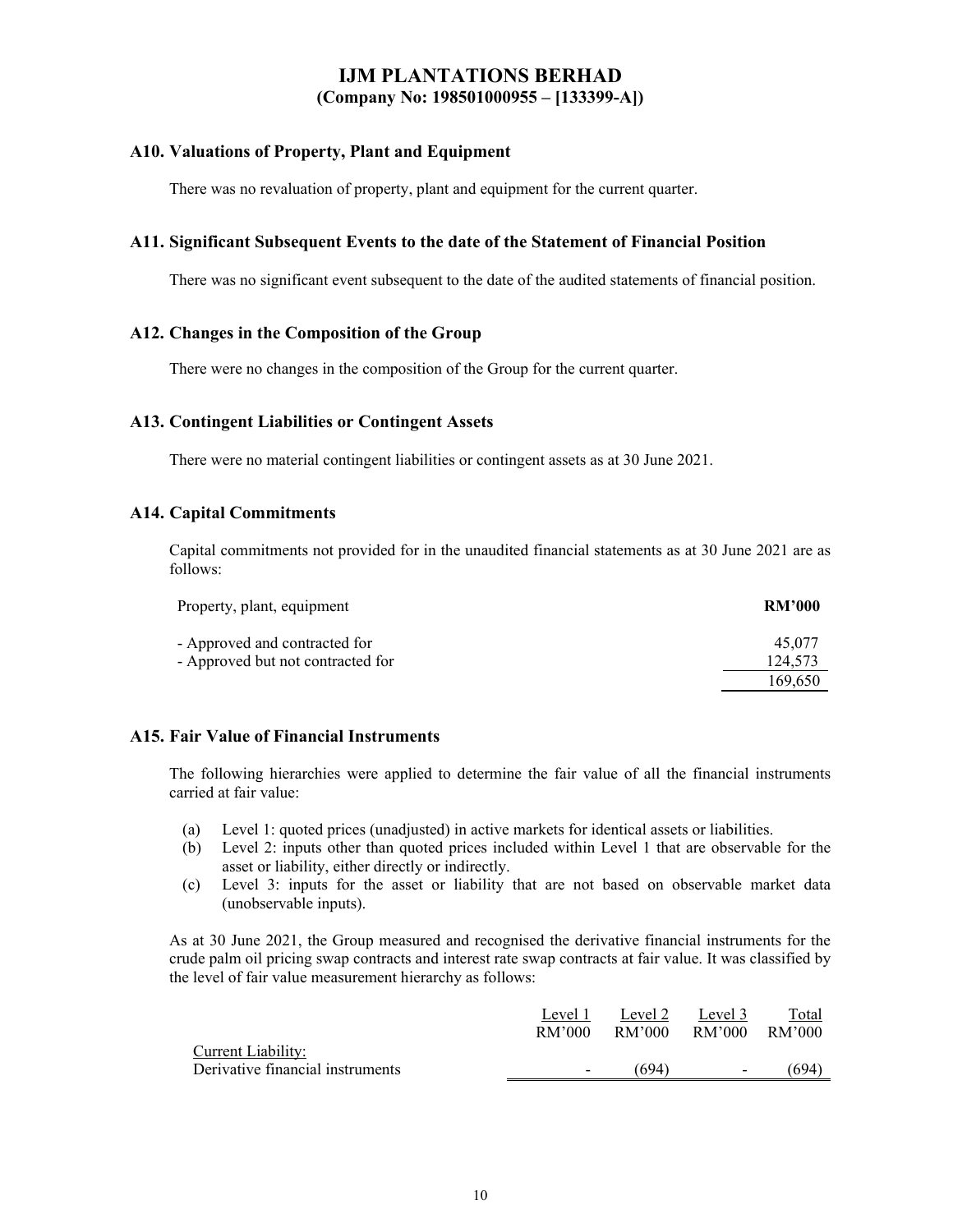#### **A10. Valuations of Property, Plant and Equipment**

There was no revaluation of property, plant and equipment for the current quarter.

#### **A11. Significant Subsequent Events to the date of the Statement of Financial Position**

There was no significant event subsequent to the date of the audited statements of financial position.

#### **A12. Changes in the Composition of the Group**

There were no changes in the composition of the Group for the current quarter.

#### **A13. Contingent Liabilities or Contingent Assets**

There were no material contingent liabilities or contingent assets as at 30 June 2021.

#### **A14. Capital Commitments**

Capital commitments not provided for in the unaudited financial statements as at 30 June 2021 are as follows:

| Property, plant, equipment                                         | <b>RM'000</b>     |
|--------------------------------------------------------------------|-------------------|
| - Approved and contracted for<br>- Approved but not contracted for | 45.077<br>124,573 |
|                                                                    | 169.650           |

### **A15. Fair Value of Financial Instruments**

The following hierarchies were applied to determine the fair value of all the financial instruments carried at fair value:

- (a) Level 1: quoted prices (unadjusted) in active markets for identical assets or liabilities.
- (b) Level 2: inputs other than quoted prices included within Level 1 that are observable for the asset or liability, either directly or indirectly.
- (c) Level 3: inputs for the asset or liability that are not based on observable market data (unobservable inputs).

As at 30 June 2021, the Group measured and recognised the derivative financial instruments for the crude palm oil pricing swap contracts and interest rate swap contracts at fair value. It was classified by the level of fair value measurement hierarchy as follows:

|                                  | Level 1                  | Level 2 | Level 3                  | Total    |
|----------------------------------|--------------------------|---------|--------------------------|----------|
|                                  | RM'000                   | RM'000  | RM'000                   | - RM'000 |
| Current Liability:               |                          |         |                          |          |
| Derivative financial instruments | $\overline{\phantom{0}}$ | (694)   | $\overline{\phantom{0}}$ | (694)    |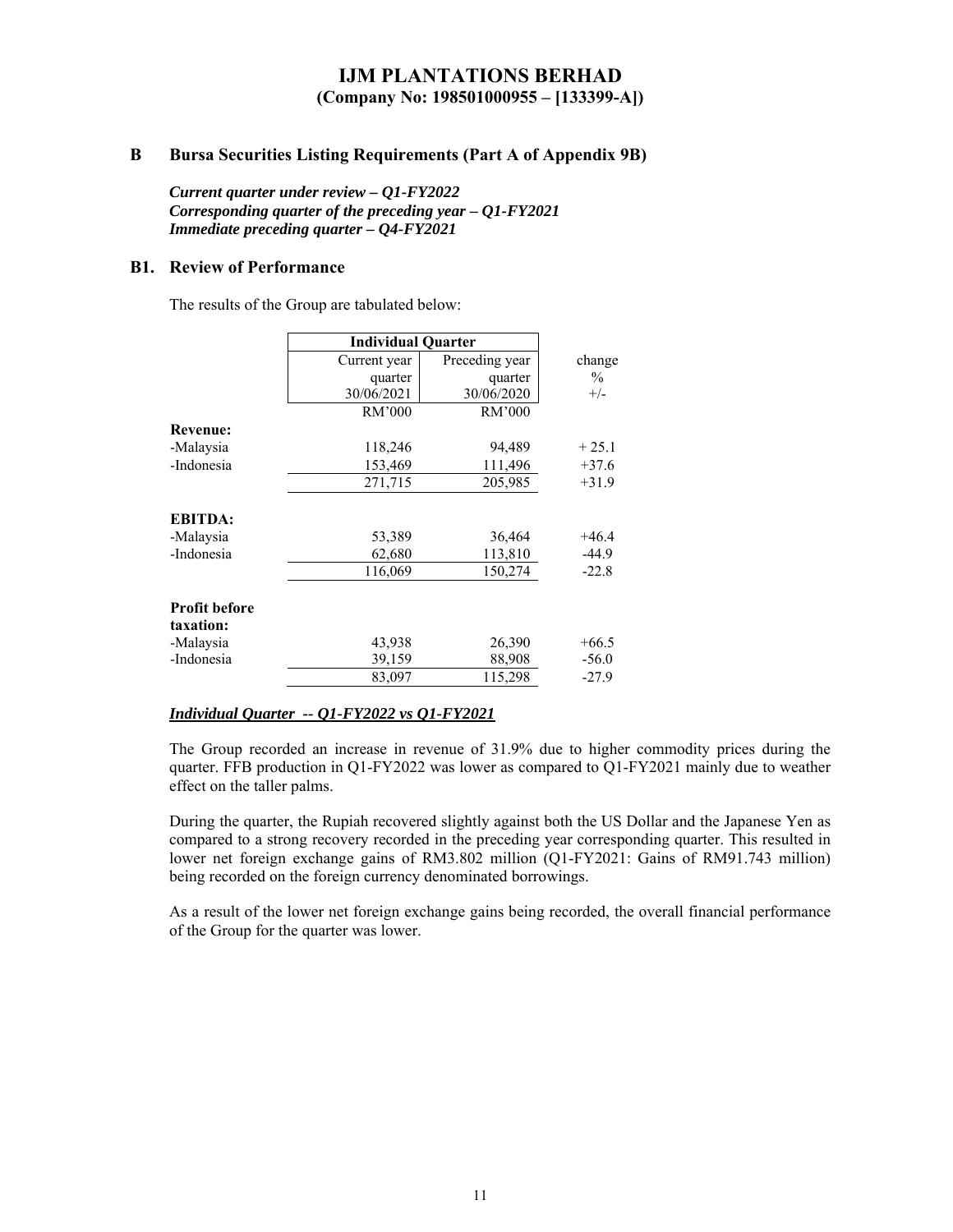### **B Bursa Securities Listing Requirements (Part A of Appendix 9B)**

*Current quarter under review – Q1-FY2022 Corresponding quarter of the preceding year – Q1-FY2021 Immediate preceding quarter – Q4-FY2021* 

#### **B1. Review of Performance**

The results of the Group are tabulated below:

|                                   | <b>Individual Quarter</b> |                |               |
|-----------------------------------|---------------------------|----------------|---------------|
|                                   | Current year              | Preceding year | change        |
|                                   | quarter                   | quarter        | $\frac{0}{0}$ |
|                                   | 30/06/2021                | 30/06/2020     | $+/-$         |
|                                   | RM'000                    | RM'000         |               |
| <b>Revenue:</b>                   |                           |                |               |
| -Malaysia                         | 118,246                   | 94,489         | $+25.1$       |
| -Indonesia                        | 153,469                   | 111,496        | $+37.6$       |
|                                   | 271,715                   | 205,985        | $+31.9$       |
| <b>EBITDA:</b>                    |                           |                |               |
| -Malaysia                         | 53,389                    | 36,464         | $+46.4$       |
| -Indonesia                        | 62,680                    | 113,810        | $-44.9$       |
|                                   | 116,069                   | 150,274        | $-22.8$       |
| <b>Profit before</b><br>taxation: |                           |                |               |
| -Malaysia                         | 43,938                    | 26,390         | $+66.5$       |
| -Indonesia                        | 39,159                    | 88,908         | $-56.0$       |
|                                   | 83,097                    | 115,298        | $-27.9$       |

#### *Individual Quarter -- Q1-FY2022 vs Q1-FY2021*

The Group recorded an increase in revenue of 31.9% due to higher commodity prices during the quarter. FFB production in Q1-FY2022 was lower as compared to Q1-FY2021 mainly due to weather effect on the taller palms.

During the quarter, the Rupiah recovered slightly against both the US Dollar and the Japanese Yen as compared to a strong recovery recorded in the preceding year corresponding quarter. This resulted in lower net foreign exchange gains of RM3.802 million (Q1-FY2021: Gains of RM91.743 million) being recorded on the foreign currency denominated borrowings.

As a result of the lower net foreign exchange gains being recorded, the overall financial performance of the Group for the quarter was lower.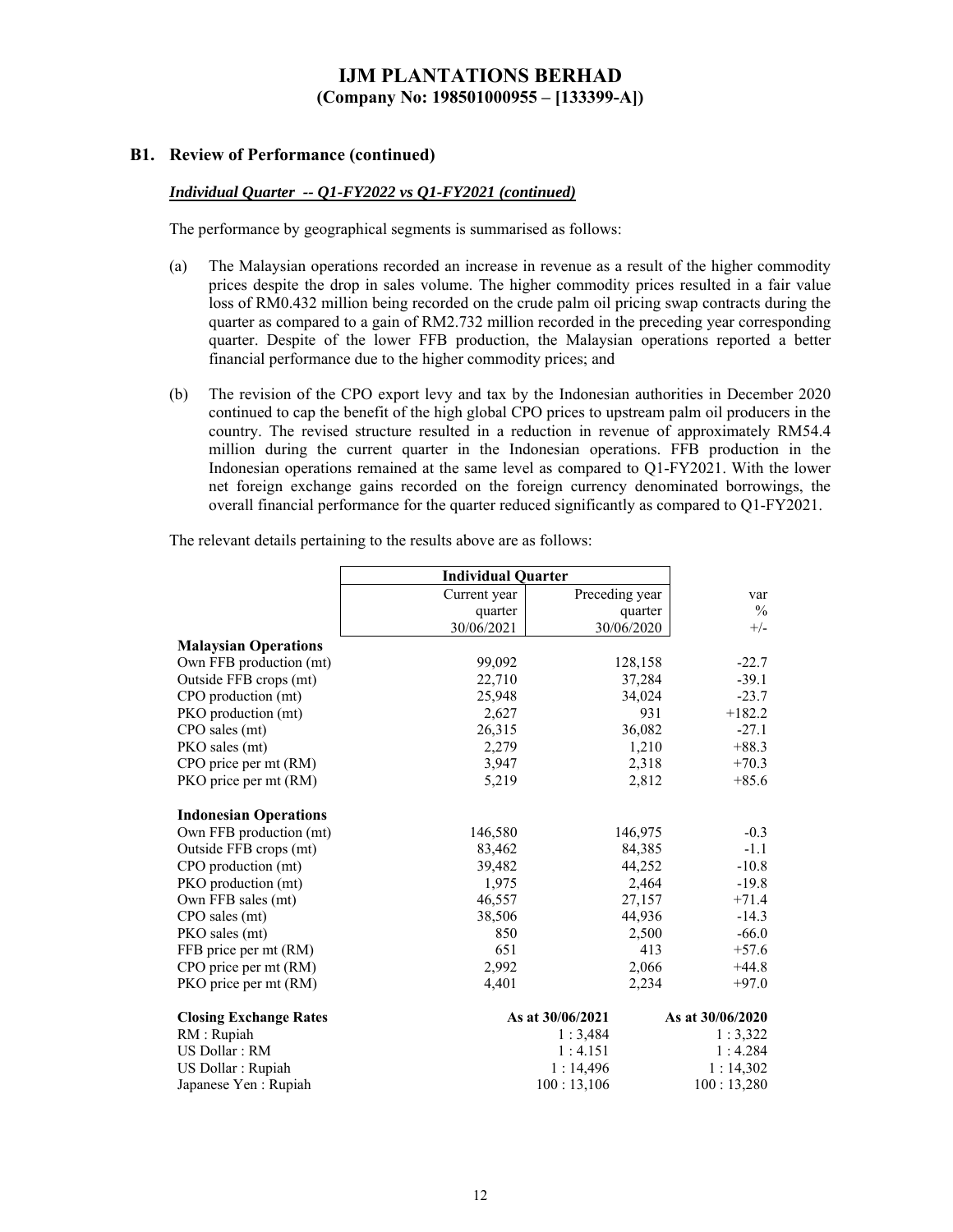### **B1. Review of Performance (continued)**

### *Individual Quarter -- Q1-FY2022 vs Q1-FY2021 (continued)*

The performance by geographical segments is summarised as follows:

- (a) The Malaysian operations recorded an increase in revenue as a result of the higher commodity prices despite the drop in sales volume. The higher commodity prices resulted in a fair value loss of RM0.432 million being recorded on the crude palm oil pricing swap contracts during the quarter as compared to a gain of RM2.732 million recorded in the preceding year corresponding quarter. Despite of the lower FFB production, the Malaysian operations reported a better financial performance due to the higher commodity prices; and
- (b) The revision of the CPO export levy and tax by the Indonesian authorities in December 2020 continued to cap the benefit of the high global CPO prices to upstream palm oil producers in the country. The revised structure resulted in a reduction in revenue of approximately RM54.4 million during the current quarter in the Indonesian operations. FFB production in the Indonesian operations remained at the same level as compared to Q1-FY2021. With the lower net foreign exchange gains recorded on the foreign currency denominated borrowings, the overall financial performance for the quarter reduced significantly as compared to Q1-FY2021.

|                               | <b>Individual Quarter</b> |                  |                  |
|-------------------------------|---------------------------|------------------|------------------|
|                               | Current year              | Preceding year   | var              |
|                               | quarter                   | quarter          | $\frac{0}{0}$    |
|                               | 30/06/2021                | 30/06/2020       | $+/-$            |
| <b>Malaysian Operations</b>   |                           |                  |                  |
| Own FFB production (mt)       | 99,092                    | 128,158          | $-22.7$          |
| Outside FFB crops (mt)        | 22,710                    | 37,284           | $-39.1$          |
| CPO production (mt)           | 25,948                    | 34,024           | $-23.7$          |
| PKO production (mt)           | 2,627                     | 931              | $+182.2$         |
| CPO sales (mt)                | 26,315                    | 36,082           | $-27.1$          |
| PKO sales (mt)                | 2,279                     | 1,210            | $+88.3$          |
| CPO price per mt (RM)         | 3,947                     | 2,318            | $+70.3$          |
| PKO price per mt (RM)         | 5,219                     | 2,812            | $+85.6$          |
| <b>Indonesian Operations</b>  |                           |                  |                  |
| Own FFB production (mt)       | 146,580                   | 146,975          | $-0.3$           |
| Outside FFB crops (mt)        | 83,462                    | 84,385           | $-1.1$           |
| CPO production (mt)           | 39,482                    | 44,252           | $-10.8$          |
| PKO production (mt)           | 1,975                     | 2,464            | $-19.8$          |
| Own FFB sales (mt)            | 46,557                    | 27,157           | $+71.4$          |
| CPO sales (mt)                | 38,506                    | 44,936           | $-14.3$          |
| PKO sales (mt)                | 850                       | 2,500            | $-66.0$          |
| FFB price per mt (RM)         | 651                       | 413              | $+57.6$          |
| CPO price per mt (RM)         | 2,992                     | 2,066            | $+44.8$          |
| PKO price per mt (RM)         | 4,401                     | 2,234            | $+97.0$          |
| <b>Closing Exchange Rates</b> |                           | As at 30/06/2021 | As at 30/06/2020 |
| RM : Rupiah                   |                           | 1:3,484          | 1:3,322          |
| US Dollar: RM                 |                           | 1:4.151          | 1:4.284          |
| US Dollar : Rupiah            |                           | 1:14,496         | 1:14,302         |
| Japanese Yen : Rupiah         |                           | 100:13,106       | 100:13,280       |

The relevant details pertaining to the results above are as follows: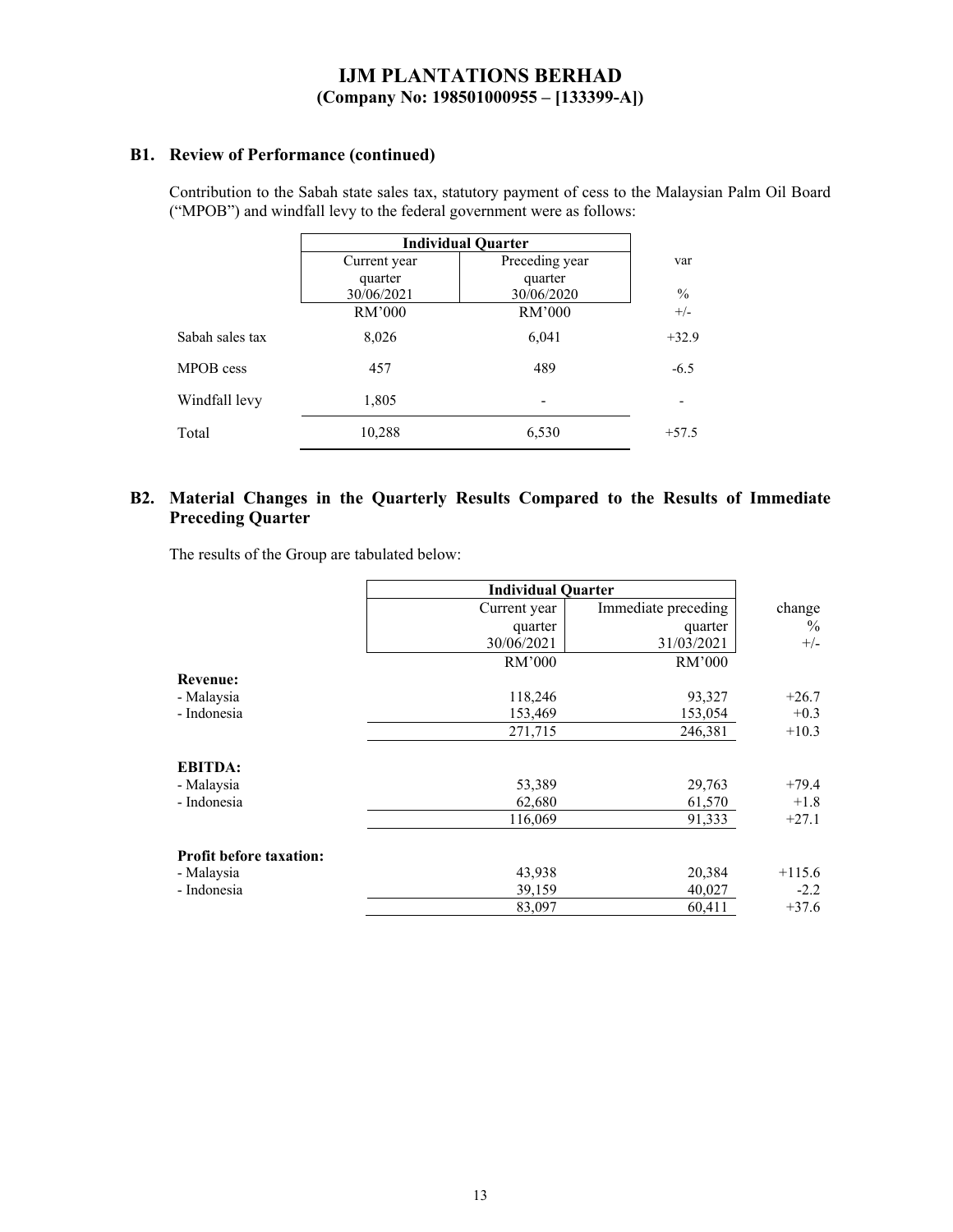### **B1. Review of Performance (continued)**

Contribution to the Sabah state sales tax, statutory payment of cess to the Malaysian Palm Oil Board ("MPOB") and windfall levy to the federal government were as follows:

|                 | <b>Individual Quarter</b> |                |               |
|-----------------|---------------------------|----------------|---------------|
|                 | Current year              | Preceding year | var           |
|                 | quarter                   | quarter        |               |
|                 | 30/06/2021                | 30/06/2020     | $\frac{0}{0}$ |
|                 | RM'000                    | RM'000         | $+/-$         |
| Sabah sales tax | 8,026                     | 6,041          | $+32.9$       |
| MPOB cess       | 457                       | 489            | $-6.5$        |
| Windfall levy   | 1,805                     | -              |               |
| Total           | 10,288                    | 6,530          | $+57.5$       |

### **B2. Material Changes in the Quarterly Results Compared to the Results of Immediate Preceding Quarter**

The results of the Group are tabulated below:

|                                | <b>Individual Quarter</b> |                     |          |
|--------------------------------|---------------------------|---------------------|----------|
|                                | Current year              | Immediate preceding | change   |
|                                | quarter                   | quarter             | $\%$     |
|                                | 30/06/2021                | 31/03/2021          | $+/-$    |
|                                | RM'000                    | RM'000              |          |
| <b>Revenue:</b>                |                           |                     |          |
| - Malaysia                     | 118,246                   | 93,327              | $+26.7$  |
| - Indonesia                    | 153,469                   | 153,054             | $+0.3$   |
|                                | 271,715                   | 246,381             | $+10.3$  |
| <b>EBITDA:</b>                 |                           |                     |          |
| - Malaysia                     | 53,389                    | 29,763              | $+79.4$  |
| - Indonesia                    | 62,680                    | 61,570              | $+1.8$   |
|                                | 116,069                   | 91,333              | $+27.1$  |
| <b>Profit before taxation:</b> |                           |                     |          |
| - Malaysia                     | 43,938                    | 20,384              | $+115.6$ |
| - Indonesia                    | 39,159                    | 40,027              | $-2.2$   |
|                                | 83,097                    | 60,411              | $+37.6$  |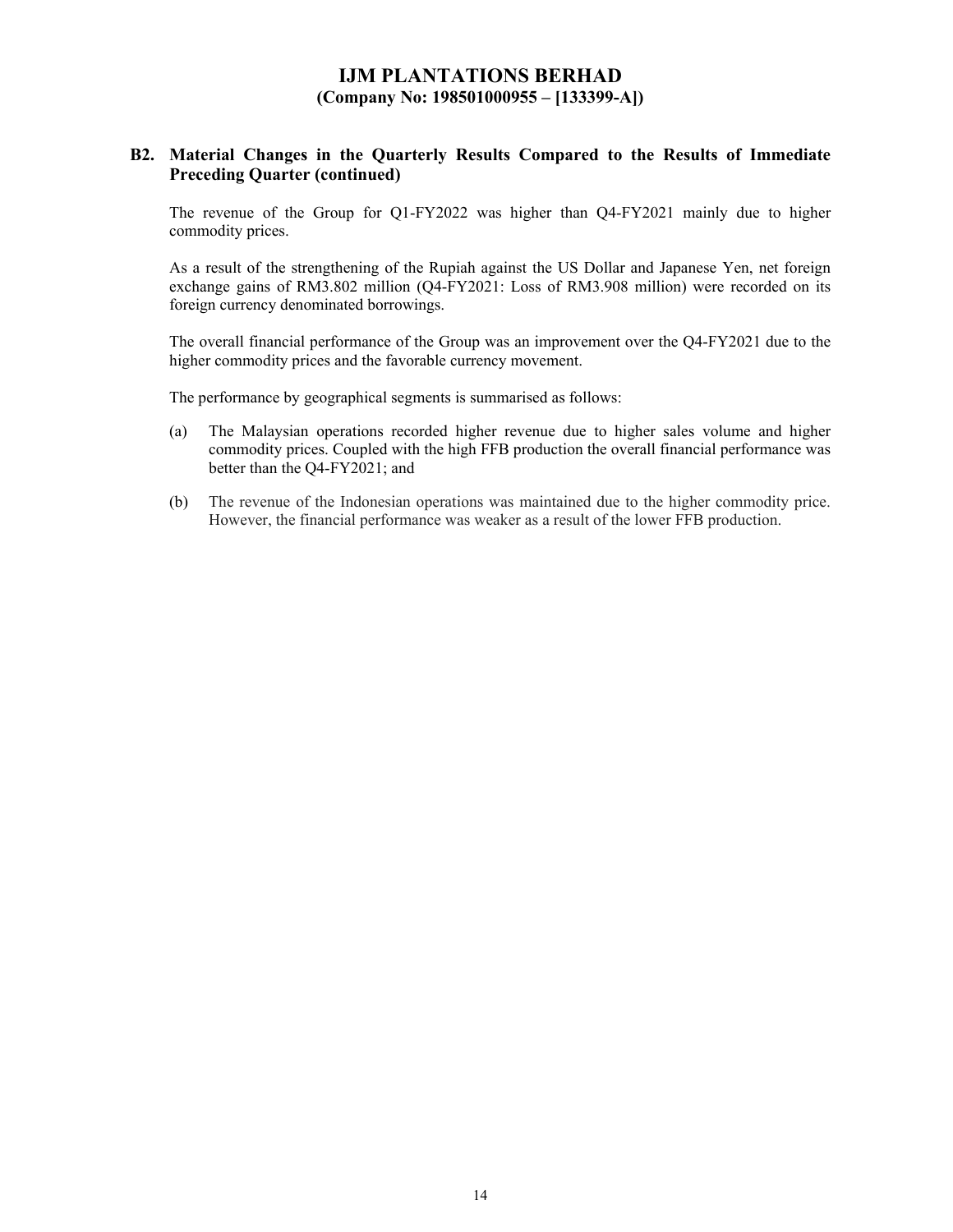### **B2. Material Changes in the Quarterly Results Compared to the Results of Immediate Preceding Quarter (continued)**

The revenue of the Group for Q1-FY2022 was higher than Q4-FY2021 mainly due to higher commodity prices.

As a result of the strengthening of the Rupiah against the US Dollar and Japanese Yen, net foreign exchange gains of RM3.802 million (Q4-FY2021: Loss of RM3.908 million) were recorded on its foreign currency denominated borrowings.

The overall financial performance of the Group was an improvement over the Q4-FY2021 due to the higher commodity prices and the favorable currency movement.

The performance by geographical segments is summarised as follows:

- (a) The Malaysian operations recorded higher revenue due to higher sales volume and higher commodity prices. Coupled with the high FFB production the overall financial performance was better than the Q4-FY2021; and
- (b) The revenue of the Indonesian operations was maintained due to the higher commodity price. However, the financial performance was weaker as a result of the lower FFB production.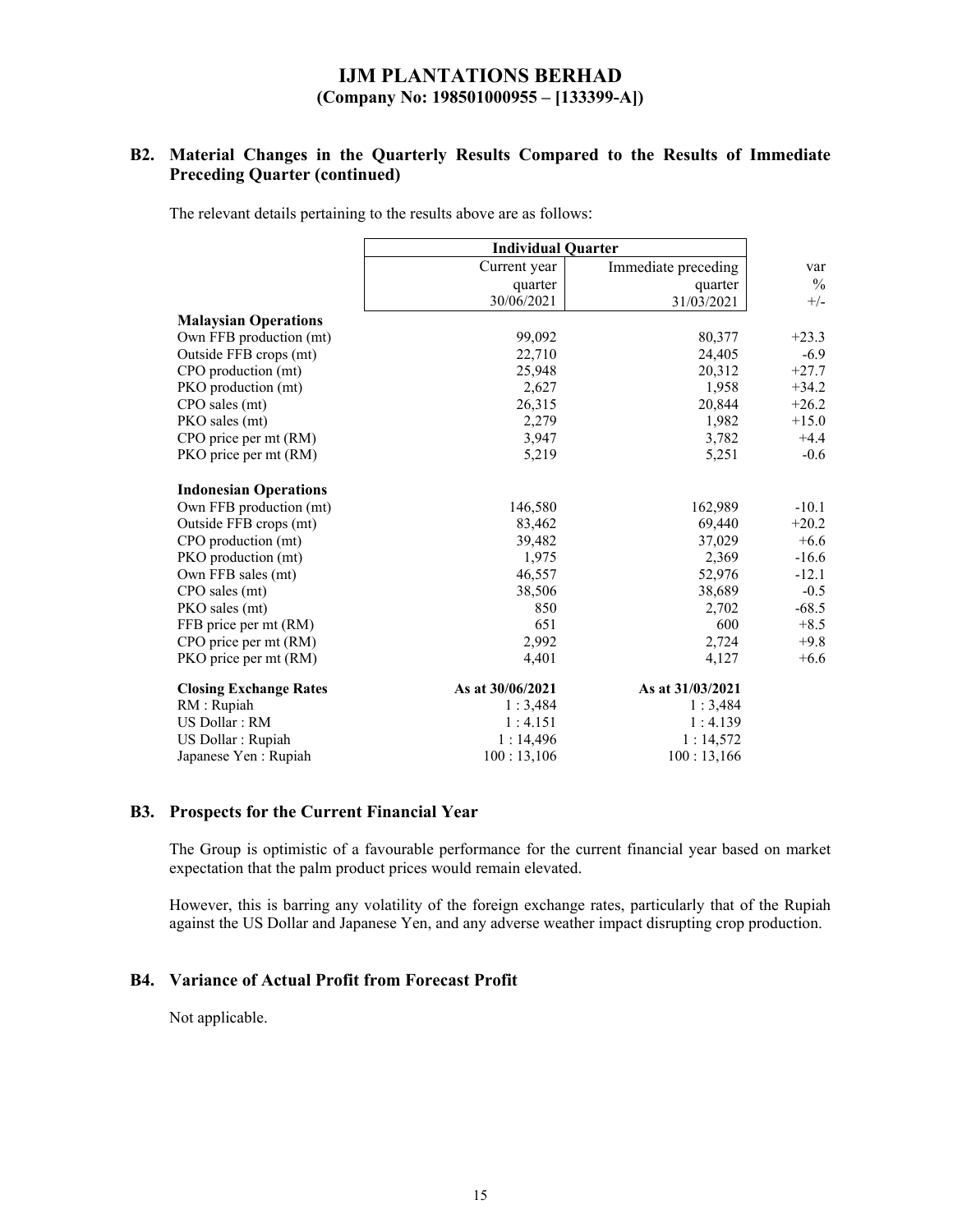## **B2. Material Changes in the Quarterly Results Compared to the Results of Immediate Preceding Quarter (continued)**

The relevant details pertaining to the results above are as follows:

|                               | <b>Individual Quarter</b> |                     |               |
|-------------------------------|---------------------------|---------------------|---------------|
|                               | Current year              | Immediate preceding | var           |
|                               | quarter                   | quarter             | $\frac{0}{0}$ |
|                               | 30/06/2021                | 31/03/2021          | $+/-$         |
| <b>Malaysian Operations</b>   |                           |                     |               |
| Own FFB production (mt)       | 99,092                    | 80,377              | $+23.3$       |
| Outside FFB crops (mt)        | 22,710                    | 24,405              | $-6.9$        |
| CPO production (mt)           | 25,948                    | 20,312              | $+27.7$       |
| PKO production (mt)           | 2,627                     | 1,958               | $+34.2$       |
| CPO sales (mt)                | 26,315                    | 20,844              | $+26.2$       |
| PKO sales (mt)                | 2,279                     | 1,982               | $+15.0$       |
| CPO price per mt (RM)         | 3,947                     | 3,782               | $+4.4$        |
| PKO price per mt (RM)         | 5,219                     | 5,251               | $-0.6$        |
| <b>Indonesian Operations</b>  |                           |                     |               |
| Own FFB production (mt)       | 146,580                   | 162,989             | $-10.1$       |
| Outside FFB crops (mt)        | 83,462                    | 69,440              | $+20.2$       |
| CPO production (mt)           | 39,482                    | 37,029              | $+6.6$        |
| PKO production (mt)           | 1,975                     | 2,369               | $-16.6$       |
| Own FFB sales (mt)            | 46,557                    | 52,976              | $-12.1$       |
| CPO sales (mt)                | 38,506                    | 38,689              | $-0.5$        |
| PKO sales (mt)                | 850                       | 2,702               | $-68.5$       |
| FFB price per mt (RM)         | 651                       | 600                 | $+8.5$        |
| CPO price per mt (RM)         | 2,992                     | 2,724               | $+9.8$        |
| PKO price per mt (RM)         | 4,401                     | 4,127               | $+6.6$        |
| <b>Closing Exchange Rates</b> | As at 30/06/2021          | As at 31/03/2021    |               |
| RM : Rupiah                   | 1:3,484                   | 1:3,484             |               |
| US Dollar: RM                 | 1:4.151                   | 1:4.139             |               |
| US Dollar : Rupiah            | 1:14,496                  | 1:14,572            |               |
| Japanese Yen : Rupiah         | 100:13,106                | 100:13,166          |               |

#### **B3. Prospects for the Current Financial Year**

The Group is optimistic of a favourable performance for the current financial year based on market expectation that the palm product prices would remain elevated.

However, this is barring any volatility of the foreign exchange rates, particularly that of the Rupiah against the US Dollar and Japanese Yen, and any adverse weather impact disrupting crop production.

### **B4. Variance of Actual Profit from Forecast Profit**

Not applicable.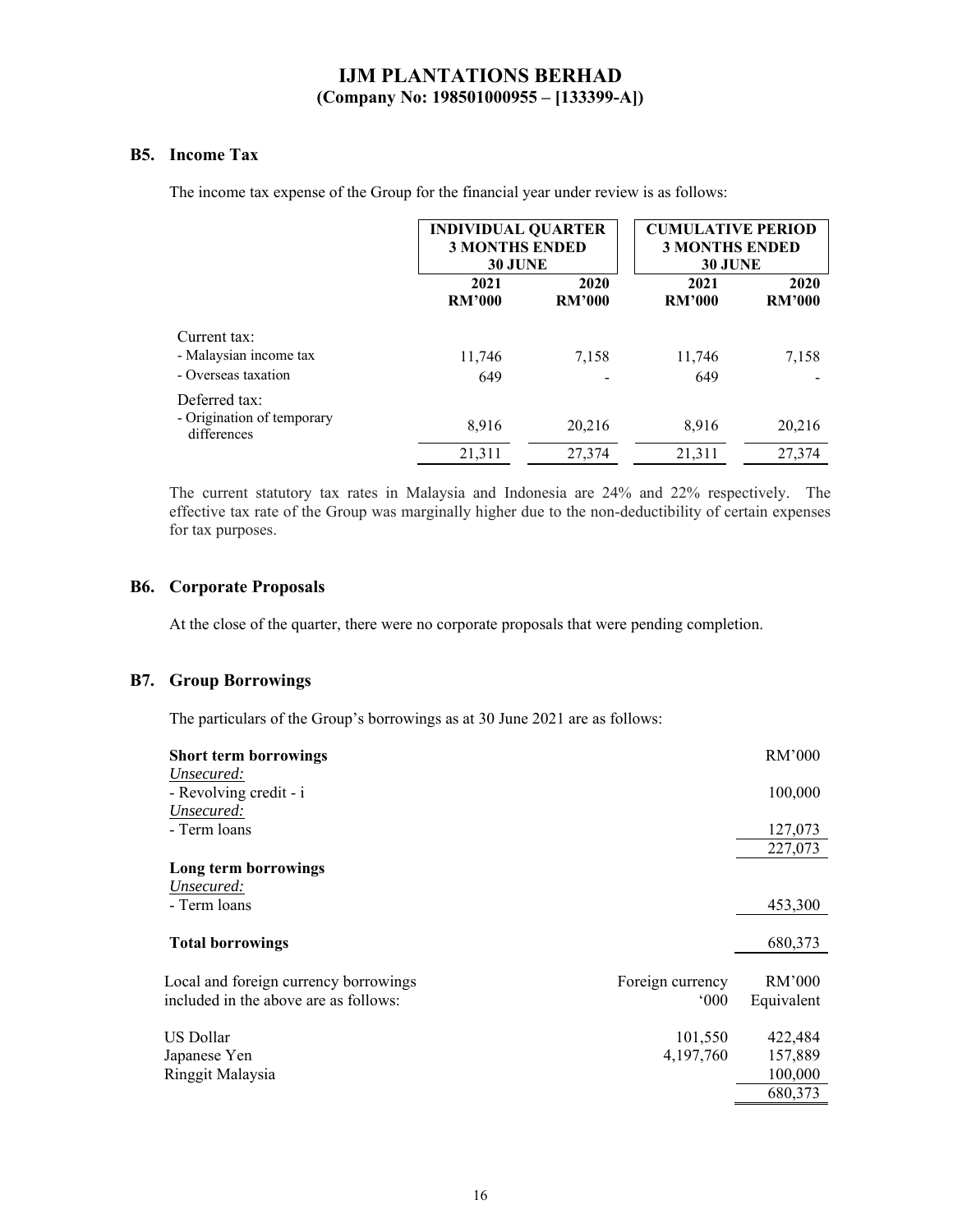### **B5. Income Tax**

The income tax expense of the Group for the financial year under review is as follows:

|                                           |                       | <b>INDIVIDUAL QUARTER</b><br><b>3 MONTHS ENDED</b><br><b>30 JUNE</b> |                       | <b>CUMULATIVE PERIOD</b><br><b>3 MONTHS ENDED</b><br><b>30 JUNE</b> |
|-------------------------------------------|-----------------------|----------------------------------------------------------------------|-----------------------|---------------------------------------------------------------------|
|                                           | 2021<br><b>RM'000</b> | 2020<br><b>RM'000</b>                                                | 2021<br><b>RM'000</b> | 2020<br><b>RM'000</b>                                               |
| Current tax:                              |                       |                                                                      |                       |                                                                     |
| - Malaysian income tax                    | 11,746                | 7,158                                                                | 11,746                | 7,158                                                               |
| - Overseas taxation                       | 649                   |                                                                      | 649                   |                                                                     |
| Deferred tax:                             |                       |                                                                      |                       |                                                                     |
| - Origination of temporary<br>differences | 8,916                 | 20,216                                                               | 8,916                 | 20,216                                                              |
|                                           | 21,311                | 27,374                                                               | 21,311                | 27,374                                                              |

The current statutory tax rates in Malaysia and Indonesia are 24% and 22% respectively. The effective tax rate of the Group was marginally higher due to the non-deductibility of certain expenses for tax purposes.

### **B6. Corporate Proposals**

At the close of the quarter, there were no corporate proposals that were pending completion.

### **B7. Group Borrowings**

The particulars of the Group's borrowings as at 30 June 2021 are as follows:

| <b>Short term borrowings</b>          |                  | RM'000     |
|---------------------------------------|------------------|------------|
| Unsecured:                            |                  |            |
| - Revolving credit - i                |                  | 100,000    |
| Unsecured:                            |                  |            |
| - Term loans                          |                  | 127,073    |
|                                       |                  | 227,073    |
| Long term borrowings                  |                  |            |
| Unsecured:                            |                  |            |
| - Term loans                          |                  | 453,300    |
|                                       |                  |            |
| <b>Total borrowings</b>               |                  | 680,373    |
|                                       |                  |            |
| Local and foreign currency borrowings | Foreign currency | RM'000     |
| included in the above are as follows: | 000              | Equivalent |
| US Dollar                             |                  |            |
|                                       | 101,550          | 422,484    |
| Japanese Yen                          | 4,197,760        | 157,889    |
| Ringgit Malaysia                      |                  | 100,000    |
|                                       |                  | 680,373    |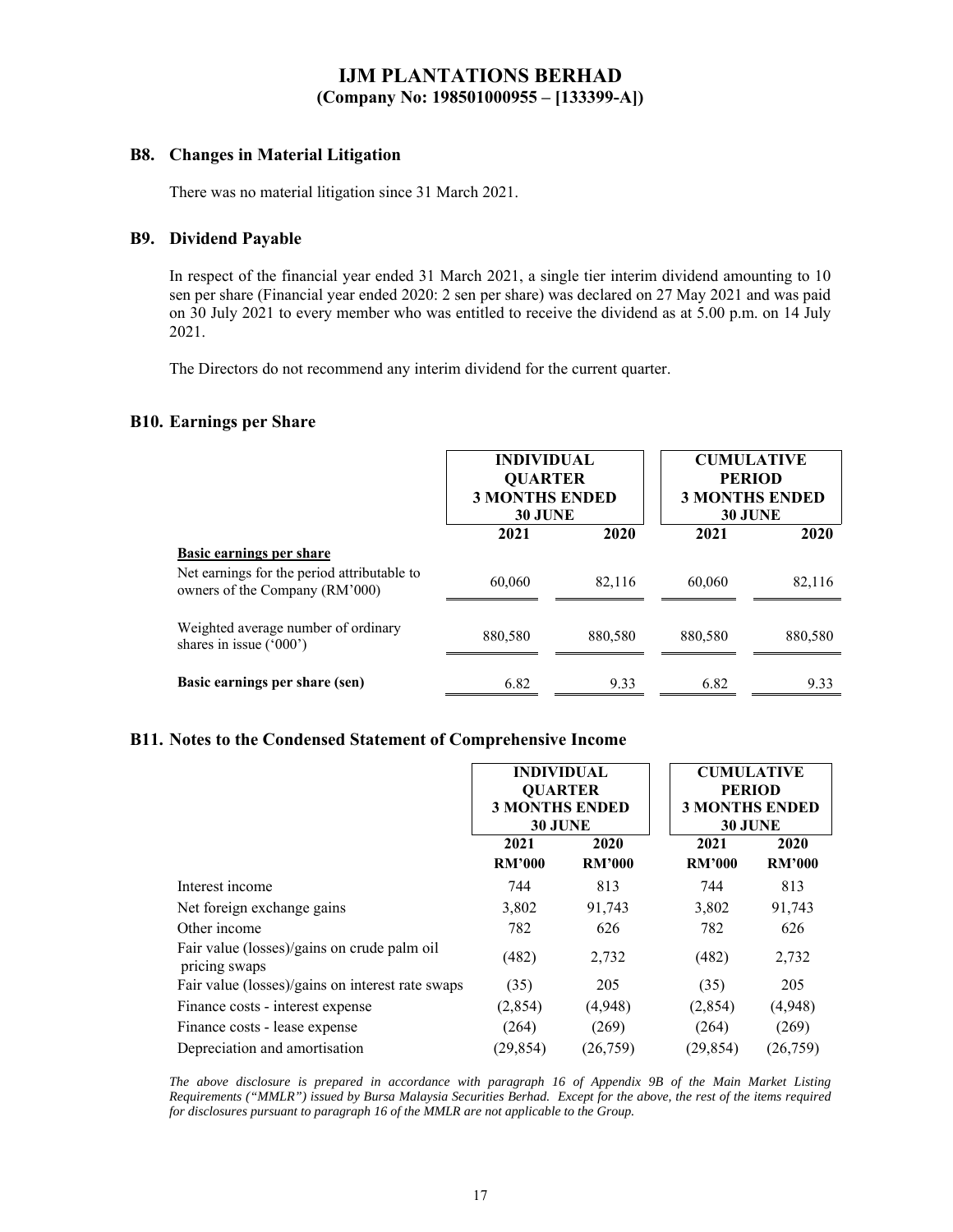### **B8. Changes in Material Litigation**

There was no material litigation since 31 March 2021.

### **B9. Dividend Payable**

In respect of the financial year ended 31 March 2021, a single tier interim dividend amounting to 10 sen per share (Financial year ended 2020: 2 sen per share) was declared on 27 May 2021 and was paid on 30 July 2021 to every member who was entitled to receive the dividend as at 5.00 p.m. on 14 July 2021.

The Directors do not recommend any interim dividend for the current quarter.

### **B10. Earnings per Share**

|                                                                               | <b>INDIVIDUAL</b><br><b>QUARTER</b><br><b>3 MONTHS ENDED</b><br><b>30 JUNE</b> |         | <b>CUMULATIVE</b><br><b>PERIOD</b><br><b>3 MONTHS ENDED</b><br><b>30 JUNE</b> |         |
|-------------------------------------------------------------------------------|--------------------------------------------------------------------------------|---------|-------------------------------------------------------------------------------|---------|
|                                                                               | 2021                                                                           | 2020    | 2021                                                                          | 2020    |
| Basic earnings per share                                                      |                                                                                |         |                                                                               |         |
| Net earnings for the period attributable to<br>owners of the Company (RM'000) | 60,060                                                                         | 82,116  | 60,060                                                                        | 82,116  |
| Weighted average number of ordinary<br>shares in issue $('000')$              | 880,580                                                                        | 880,580 | 880,580                                                                       | 880,580 |
| Basic earnings per share (sen)                                                | 6.82                                                                           | 9.33    | 6.82                                                                          | 9.33    |

### **B11. Notes to the Condensed Statement of Comprehensive Income**

|                                                              | <b>INDIVIDUAL</b><br><b>QUARTER</b><br><b>3 MONTHS ENDED</b><br><b>30 JUNE</b> |                       | <b>CUMULATIVE</b><br><b>PERIOD</b><br><b>3 MONTHS ENDED</b><br><b>30 JUNE</b> |                       |
|--------------------------------------------------------------|--------------------------------------------------------------------------------|-----------------------|-------------------------------------------------------------------------------|-----------------------|
|                                                              | 2021<br><b>RM'000</b>                                                          | 2020<br><b>RM'000</b> | 2021<br><b>RM'000</b>                                                         | 2020<br><b>RM'000</b> |
| Interest income                                              | 744                                                                            | 813                   | 744                                                                           | 813                   |
| Net foreign exchange gains                                   | 3,802                                                                          | 91,743                | 3,802                                                                         | 91,743                |
| Other income                                                 | 782                                                                            | 626                   | 782                                                                           | 626                   |
| Fair value (losses)/gains on crude palm oil<br>pricing swaps | (482)                                                                          | 2,732                 | (482)                                                                         | 2,732                 |
| Fair value (losses)/gains on interest rate swaps             | (35)                                                                           | 205                   | (35)                                                                          | 205                   |
| Finance costs - interest expense                             | (2,854)                                                                        | (4,948)               | (2,854)                                                                       | (4,948)               |
| Finance costs - lease expense                                | (264)                                                                          | (269)                 | (264)                                                                         | (269)                 |
| Depreciation and amortisation                                | (29, 854)                                                                      | (26, 759)             | (29, 854)                                                                     | (26, 759)             |

*The above disclosure is prepared in accordance with paragraph 16 of Appendix 9B of the Main Market Listing Requirements ("MMLR") issued by Bursa Malaysia Securities Berhad. Except for the above, the rest of the items required for disclosures pursuant to paragraph 16 of the MMLR are not applicable to the Group.*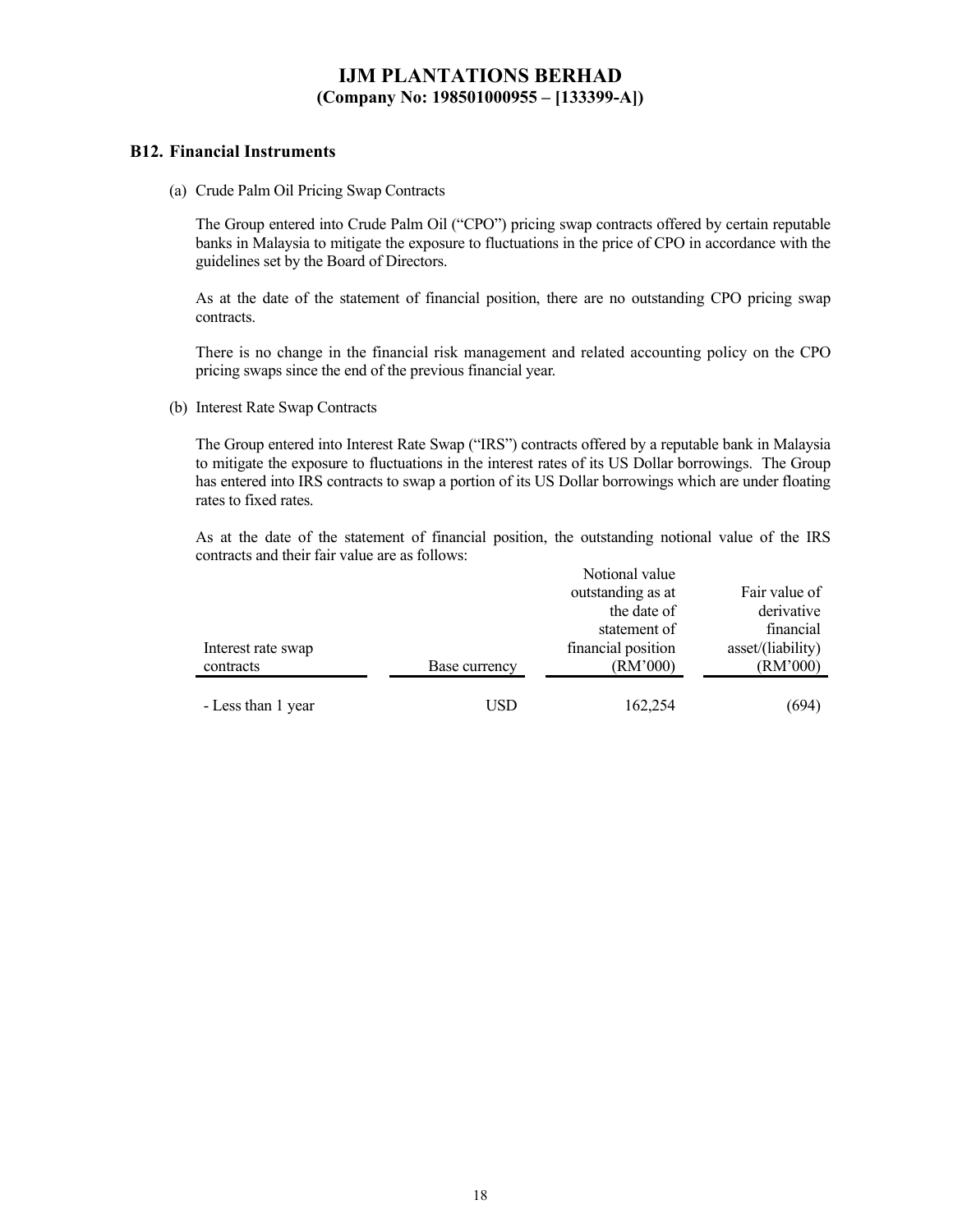#### **B12. Financial Instruments**

(a) Crude Palm Oil Pricing Swap Contracts

The Group entered into Crude Palm Oil ("CPO") pricing swap contracts offered by certain reputable banks in Malaysia to mitigate the exposure to fluctuations in the price of CPO in accordance with the guidelines set by the Board of Directors.

As at the date of the statement of financial position, there are no outstanding CPO pricing swap contracts.

There is no change in the financial risk management and related accounting policy on the CPO pricing swaps since the end of the previous financial year.

(b) Interest Rate Swap Contracts

The Group entered into Interest Rate Swap ("IRS") contracts offered by a reputable bank in Malaysia to mitigate the exposure to fluctuations in the interest rates of its US Dollar borrowings. The Group has entered into IRS contracts to swap a portion of its US Dollar borrowings which are under floating rates to fixed rates.

As at the date of the statement of financial position, the outstanding notional value of the IRS contracts and their fair value are as follows:

|                    |               | Notional value     |                   |
|--------------------|---------------|--------------------|-------------------|
|                    |               | outstanding as at  | Fair value of     |
|                    |               | the date of        | derivative        |
|                    |               | statement of       | financial         |
| Interest rate swap |               | financial position | asset/(liability) |
| contracts          | Base currency | (RM'000)           | (RM'000)          |
|                    |               |                    |                   |
| - Less than 1 year | USD           | 162,254            | (694)             |